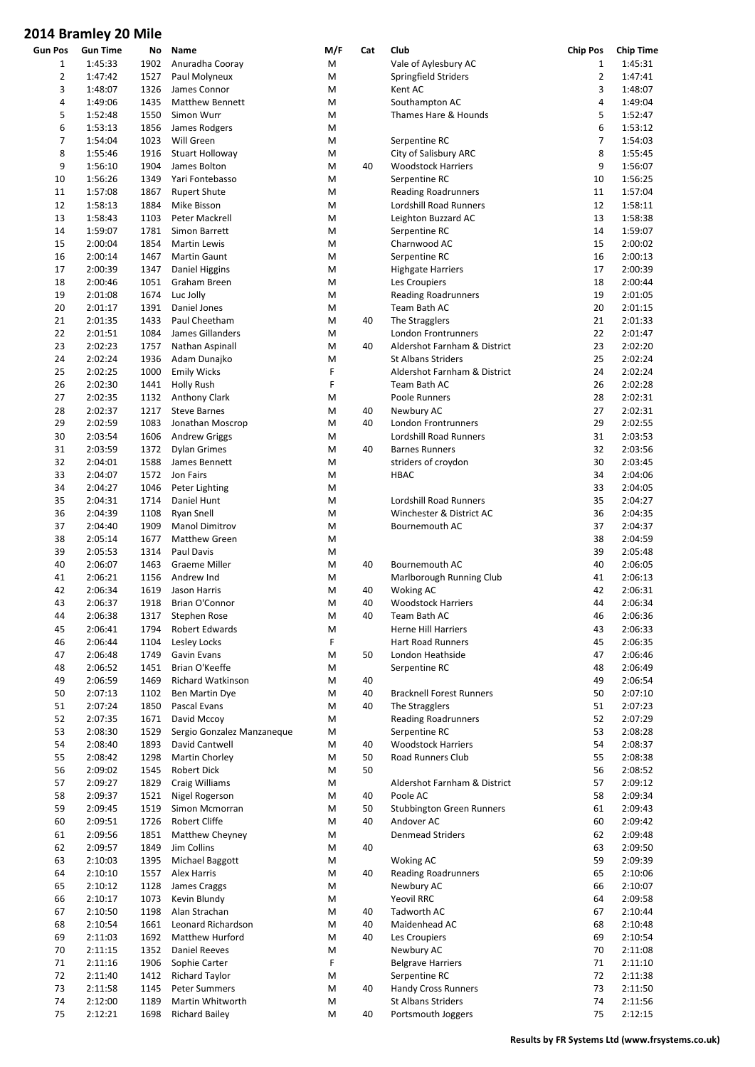|                | סווויו שג ev ויוווס וש |      |                            |     |     |                                  |                 |                  |
|----------------|------------------------|------|----------------------------|-----|-----|----------------------------------|-----------------|------------------|
| <b>Gun Pos</b> | <b>Gun Time</b>        | No   | Name                       | M/F | Cat | Club                             | <b>Chip Pos</b> | <b>Chip Time</b> |
| 1              | 1:45:33                | 1902 | Anuradha Cooray            | M   |     | Vale of Aylesbury AC             | $1\,$           | 1:45:31          |
| 2              | 1:47:42                | 1527 | Paul Molyneux              | M   |     | Springfield Striders             | $\overline{2}$  | 1:47:41          |
|                |                        |      |                            |     |     |                                  |                 |                  |
| 3              | 1:48:07                | 1326 | James Connor               | M   |     | Kent AC                          | 3               | 1:48:07          |
| 4              | 1:49:06                | 1435 | <b>Matthew Bennett</b>     | M   |     | Southampton AC                   | $\pmb{4}$       | 1:49:04          |
| 5              | 1:52:48                | 1550 | Simon Wurr                 | M   |     | Thames Hare & Hounds             | 5               | 1:52:47          |
| 6              | 1:53:13                | 1856 | James Rodgers              | M   |     |                                  | 6               | 1:53:12          |
| 7              | 1:54:04                | 1023 | Will Green                 | M   |     | Serpentine RC                    | $\overline{7}$  | 1:54:03          |
| 8              | 1:55:46                | 1916 | Stuart Holloway            | M   |     | City of Salisbury ARC            | 8               | 1:55:45          |
|                |                        |      |                            |     |     |                                  |                 |                  |
| 9              | 1:56:10                | 1904 | James Bolton               | M   | 40  | <b>Woodstock Harriers</b>        | 9               | 1:56:07          |
| 10             | 1:56:26                | 1349 | Yari Fontebasso            | M   |     | Serpentine RC                    | 10              | 1:56:25          |
| 11             | 1:57:08                | 1867 | <b>Rupert Shute</b>        | M   |     | <b>Reading Roadrunners</b>       | 11              | 1:57:04          |
| 12             | 1:58:13                | 1884 | Mike Bisson                | M   |     | Lordshill Road Runners           | 12              | 1:58:11          |
| 13             | 1:58:43                | 1103 | Peter Mackrell             | M   |     | Leighton Buzzard AC              | 13              | 1:58:38          |
|                |                        |      |                            |     |     |                                  |                 |                  |
| 14             | 1:59:07                | 1781 | Simon Barrett              | M   |     | Serpentine RC                    | 14              | 1:59:07          |
| 15             | 2:00:04                | 1854 | <b>Martin Lewis</b>        | M   |     | Charnwood AC                     | 15              | 2:00:02          |
| 16             | 2:00:14                | 1467 | Martin Gaunt               | M   |     | Serpentine RC                    | 16              | 2:00:13          |
| 17             | 2:00:39                | 1347 | Daniel Higgins             | M   |     | <b>Highgate Harriers</b>         | 17              | 2:00:39          |
| 18             | 2:00:46                | 1051 | Graham Breen               | M   |     |                                  | 18              | 2:00:44          |
|                |                        |      |                            |     |     | Les Croupiers                    |                 |                  |
| 19             | 2:01:08                | 1674 | Luc Jolly                  | M   |     | <b>Reading Roadrunners</b>       | 19              | 2:01:05          |
| 20             | 2:01:17                | 1391 | Daniel Jones               | M   |     | Team Bath AC                     | 20              | 2:01:15          |
| 21             | 2:01:35                | 1433 | Paul Cheetham              | M   | 40  | The Stragglers                   | 21              | 2:01:33          |
| 22             | 2:01:51                | 1084 | James Gillanders           | M   |     | London Frontrunners              | 22              | 2:01:47          |
| 23             |                        |      |                            |     |     |                                  | 23              | 2:02:20          |
|                | 2:02:23                | 1757 | Nathan Aspinall            | M   | 40  | Aldershot Farnham & District     |                 |                  |
| 24             | 2:02:24                | 1936 | Adam Dunajko               | M   |     | <b>St Albans Striders</b>        | 25              | 2:02:24          |
| 25             | 2:02:25                | 1000 | <b>Emily Wicks</b>         | F   |     | Aldershot Farnham & District     | 24              | 2:02:24          |
| 26             | 2:02:30                | 1441 | <b>Holly Rush</b>          | F   |     | Team Bath AC                     | 26              | 2:02:28          |
| 27             | 2:02:35                | 1132 | Anthony Clark              | M   |     | Poole Runners                    | 28              | 2:02:31          |
|                |                        |      |                            |     |     |                                  |                 |                  |
| 28             | 2:02:37                | 1217 | <b>Steve Barnes</b>        | M   | 40  | Newbury AC                       | 27              | 2:02:31          |
| 29             | 2:02:59                | 1083 | Jonathan Moscrop           | M   | 40  | London Frontrunners              | 29              | 2:02:55          |
| 30             | 2:03:54                | 1606 | <b>Andrew Griggs</b>       | M   |     | Lordshill Road Runners           | 31              | 2:03:53          |
| 31             | 2:03:59                | 1372 | <b>Dylan Grimes</b>        | M   | 40  | <b>Barnes Runners</b>            | 32              | 2:03:56          |
| 32             | 2:04:01                | 1588 | James Bennett              | M   |     | striders of croydon              | 30              | 2:03:45          |
|                |                        |      |                            |     |     |                                  |                 |                  |
| 33             | 2:04:07                | 1572 | Jon Fairs                  | M   |     | <b>HBAC</b>                      | 34              | 2:04:06          |
| 34             | 2:04:27                | 1046 | Peter Lighting             | M   |     |                                  | 33              | 2:04:05          |
| 35             | 2:04:31                | 1714 | Daniel Hunt                | M   |     | Lordshill Road Runners           | 35              | 2:04:27          |
| 36             | 2:04:39                | 1108 | <b>Ryan Snell</b>          | M   |     | Winchester & District AC         | 36              | 2:04:35          |
| 37             | 2:04:40                |      |                            |     |     |                                  | 37              | 2:04:37          |
|                |                        | 1909 | Manol Dimitrov             | M   |     | Bournemouth AC                   |                 |                  |
| 38             | 2:05:14                | 1677 | <b>Matthew Green</b>       | M   |     |                                  | 38              | 2:04:59          |
| 39             | 2:05:53                | 1314 | Paul Davis                 | M   |     |                                  | 39              | 2:05:48          |
| 40             | 2:06:07                | 1463 | <b>Graeme Miller</b>       | M   | 40  | <b>Bournemouth AC</b>            | 40              | 2:06:05          |
| 41             | 2:06:21                | 1156 | Andrew Ind                 | M   |     | Marlborough Running Club         | 41              | 2:06:13          |
| 42             |                        |      |                            |     |     |                                  | 42              |                  |
|                | 2:06:34                | 1619 | Jason Harris               | M   | 40  | Woking AC                        |                 | 2:06:31          |
| 43             | 2:06:37                | 1918 | Brian O'Connor             | M   | 40  | <b>Woodstock Harriers</b>        | 44              | 2:06:34          |
| 44             | 2:06:38                | 1317 | Stephen Rose               | M   | 40  | Team Bath AC                     | 46              | 2:06:36          |
| 45             | 2:06:41                | 1794 | Robert Edwards             | M   |     | Herne Hill Harriers              | 43              | 2:06:33          |
| 46             | 2:06:44                | 1104 | Lesley Locks               | F   |     | Hart Road Runners                | 45              | 2:06:35          |
| 47             | 2:06:48                | 1749 | Gavin Evans                |     | 50  |                                  | 47              | 2:06:46          |
|                |                        |      |                            | M   |     | London Heathside                 |                 |                  |
| 48             | 2:06:52                | 1451 | Brian O'Keeffe             | M   |     | Serpentine RC                    | 48              | 2:06:49          |
| 49             | 2:06:59                | 1469 | Richard Watkinson          | M   | 40  |                                  | 49              | 2:06:54          |
| 50             | 2:07:13                | 1102 | Ben Martin Dye             | M   | 40  | <b>Bracknell Forest Runners</b>  | 50              | 2:07:10          |
| 51             | 2:07:24                | 1850 | Pascal Evans               | M   | 40  | The Stragglers                   | 51              | 2:07:23          |
|                |                        |      |                            |     |     | <b>Reading Roadrunners</b>       | 52              |                  |
| 52             | 2:07:35                | 1671 | David Mccoy                | M   |     |                                  |                 | 2:07:29          |
| 53             | 2:08:30                | 1529 | Sergio Gonzalez Manzaneque | M   |     | Serpentine RC                    | 53              | 2:08:28          |
| 54             | 2:08:40                | 1893 | David Cantwell             | M   | 40  | <b>Woodstock Harriers</b>        | 54              | 2:08:37          |
| 55             | 2:08:42                | 1298 | Martin Chorley             | M   | 50  | Road Runners Club                | 55              | 2:08:38          |
| 56             | 2:09:02                | 1545 | Robert Dick                | M   | 50  |                                  | 56              | 2:08:52          |
|                |                        |      |                            |     |     |                                  |                 |                  |
| 57             | 2:09:27                | 1829 | Craig Williams             | M   |     | Aldershot Farnham & District     | 57              | 2:09:12          |
| 58             | 2:09:37                | 1521 | Nigel Rogerson             | M   | 40  | Poole AC                         | 58              | 2:09:34          |
| 59             | 2:09:45                | 1519 | Simon Mcmorran             | M   | 50  | <b>Stubbington Green Runners</b> | 61              | 2:09:43          |
| 60             | 2:09:51                | 1726 | Robert Cliffe              | M   | 40  | Andover AC                       | 60              | 2:09:42          |
| 61             | 2:09:56                | 1851 | Matthew Cheyney            | M   |     | <b>Denmead Striders</b>          | 62              | 2:09:48          |
|                |                        |      |                            |     |     |                                  |                 |                  |
| 62             | 2:09:57                | 1849 | Jim Collins                | M   | 40  |                                  | 63              | 2:09:50          |
| 63             | 2:10:03                | 1395 | Michael Baggott            | M   |     | Woking AC                        | 59              | 2:09:39          |
| 64             | 2:10:10                | 1557 | Alex Harris                | M   | 40  | <b>Reading Roadrunners</b>       | 65              | 2:10:06          |
| 65             | 2:10:12                | 1128 | James Craggs               | M   |     | Newbury AC                       | 66              | 2:10:07          |
| 66             | 2:10:17                | 1073 | Kevin Blundy               | M   |     | Yeovil RRC                       | 64              | 2:09:58          |
|                |                        |      |                            |     |     |                                  |                 |                  |
| 67             | 2:10:50                | 1198 | Alan Strachan              | M   | 40  | Tadworth AC                      | 67              | 2:10:44          |
| 68             | 2:10:54                | 1661 | Leonard Richardson         | M   | 40  | Maidenhead AC                    | 68              | 2:10:48          |
| 69             | 2:11:03                | 1692 | Matthew Hurford            | M   | 40  | Les Croupiers                    | 69              | 2:10:54          |
| 70             | 2:11:15                | 1352 | Daniel Reeves              | M   |     | Newbury AC                       | 70              | 2:11:08          |
| 71             |                        | 1906 |                            | F   |     |                                  | 71              | 2:11:10          |
|                | 2:11:16                |      | Sophie Carter              |     |     | <b>Belgrave Harriers</b>         |                 |                  |
| 72             | 2:11:40                | 1412 | <b>Richard Taylor</b>      | M   |     | Serpentine RC                    | 72              | 2:11:38          |
| 73             | 2:11:58                | 1145 | <b>Peter Summers</b>       | M   | 40  | <b>Handy Cross Runners</b>       | 73              | 2:11:50          |
| 74             | 2:12:00                | 1189 | Martin Whitworth           | M   |     | St Albans Striders               | 74              | 2:11:56          |
| 75             | 2:12:21                | 1698 | <b>Richard Bailey</b>      | M   | 40  | Portsmouth Joggers               | 75              | 2:12:15          |
|                |                        |      |                            |     |     |                                  |                 |                  |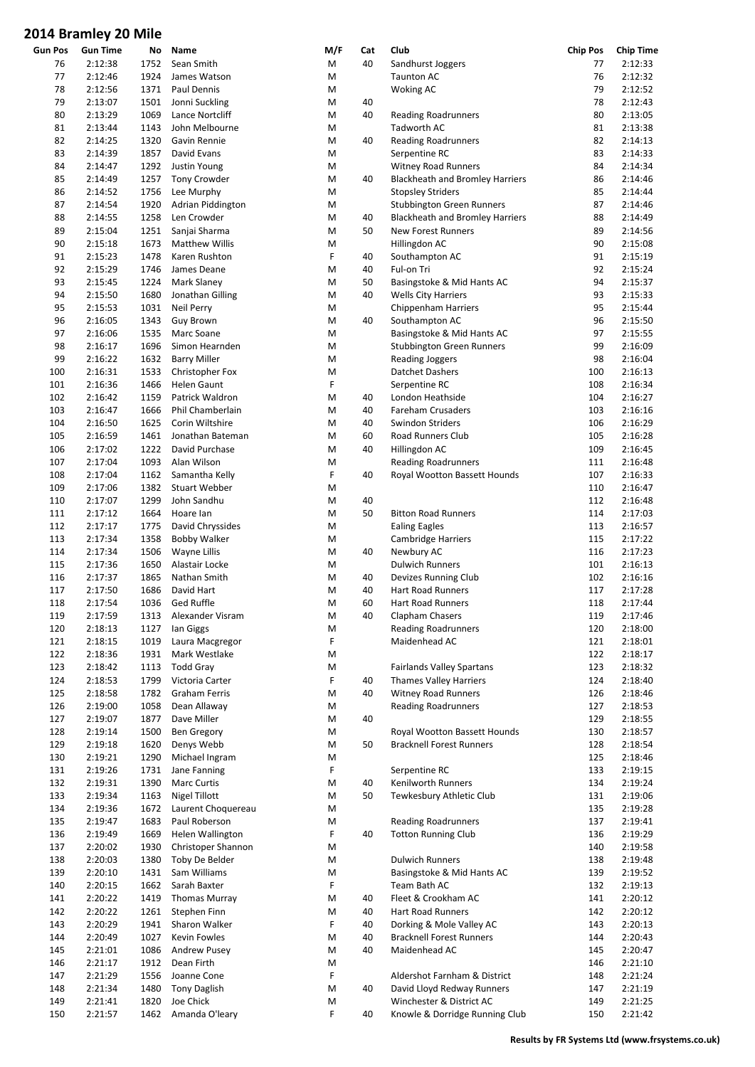|            | סווויו טג נאווווסוט דבט |      |                       |        |     |                                            |                 |                  |
|------------|-------------------------|------|-----------------------|--------|-----|--------------------------------------------|-----------------|------------------|
| Gun Pos    | <b>Gun Time</b>         | No   | Name                  | M/F    | Cat | Club                                       | <b>Chip Pos</b> | <b>Chip Time</b> |
| 76         | 2:12:38                 | 1752 | Sean Smith            | M      | 40  | Sandhurst Joggers                          | 77              | 2:12:33          |
| 77         | 2:12:46                 | 1924 | James Watson          | M      |     | <b>Taunton AC</b>                          | 76              | 2:12:32          |
| 78         | 2:12:56                 | 1371 | Paul Dennis           | M      |     | <b>Woking AC</b>                           | 79              | 2:12:52          |
| 79         | 2:13:07                 | 1501 | Jonni Suckling        | M      | 40  |                                            | 78              | 2:12:43          |
| 80         | 2:13:29                 | 1069 | Lance Nortcliff       | M      | 40  | <b>Reading Roadrunners</b>                 | 80              | 2:13:05          |
| 81         | 2:13:44                 | 1143 | John Melbourne        | M      |     | <b>Tadworth AC</b>                         | 81              | 2:13:38          |
| 82         | 2:14:25                 | 1320 | Gavin Rennie          | M      | 40  | <b>Reading Roadrunners</b>                 | 82              | 2:14:13          |
| 83         | 2:14:39                 | 1857 | David Evans           | M      |     | Serpentine RC                              | 83              | 2:14:33          |
| 84         | 2:14:47                 | 1292 | <b>Justin Young</b>   | M      |     | <b>Witney Road Runners</b>                 | 84              | 2:14:34          |
| 85         | 2:14:49                 | 1257 | <b>Tony Crowder</b>   | M      | 40  | <b>Blackheath and Bromley Harriers</b>     | 86              | 2:14:46          |
| 86         | 2:14:52                 | 1756 | Lee Murphy            | M      |     | <b>Stopsley Striders</b>                   | 85              | 2:14:44          |
| 87         | 2:14:54                 | 1920 | Adrian Piddington     | M      |     | <b>Stubbington Green Runners</b>           | 87              | 2:14:46          |
| 88         | 2:14:55                 | 1258 | Len Crowder           | M      | 40  | <b>Blackheath and Bromley Harriers</b>     | 88              | 2:14:49          |
| 89         | 2:15:04                 | 1251 | Sanjai Sharma         | M      | 50  | <b>New Forest Runners</b>                  | 89              | 2:14:56          |
| 90         | 2:15:18                 | 1673 | <b>Matthew Willis</b> | M      |     | Hillingdon AC                              | 90              | 2:15:08          |
| 91         | 2:15:23                 | 1478 | Karen Rushton         | F      | 40  | Southampton AC                             | 91              | 2:15:19          |
| 92         | 2:15:29                 | 1746 | James Deane           | M      | 40  | Ful-on Tri                                 | 92              | 2:15:24          |
| 93         | 2:15:45                 | 1224 | Mark Slaney           | M      | 50  | Basingstoke & Mid Hants AC                 | 94              | 2:15:37          |
| 94         | 2:15:50                 | 1680 | Jonathan Gilling      | M      | 40  | <b>Wells City Harriers</b>                 | 93              | 2:15:33          |
| 95         | 2:15:53                 | 1031 | <b>Neil Perry</b>     | M      |     | <b>Chippenham Harriers</b>                 | 95              | 2:15:44          |
| 96         | 2:16:05                 | 1343 | <b>Guy Brown</b>      | M      | 40  | Southampton AC                             | 96              | 2:15:50          |
| 97         | 2:16:06                 | 1535 | Marc Soane            | M      |     | Basingstoke & Mid Hants AC                 | 97              | 2:15:55          |
| 98         | 2:16:17                 | 1696 | Simon Hearnden        | M      |     |                                            | 99              | 2:16:09          |
|            |                         | 1632 |                       |        |     | <b>Stubbington Green Runners</b>           | 98              | 2:16:04          |
| 99         | 2:16:22                 |      | <b>Barry Miller</b>   | M      |     | <b>Reading Joggers</b>                     |                 |                  |
| 100        | 2:16:31                 | 1533 | Christopher Fox       | M<br>F |     | Datchet Dashers                            | 100             | 2:16:13          |
| 101        | 2:16:36                 | 1466 | <b>Helen Gaunt</b>    |        |     | Serpentine RC                              | 108             | 2:16:34          |
| 102        | 2:16:42                 | 1159 | Patrick Waldron       | M      | 40  | London Heathside                           | 104             | 2:16:27          |
| 103        | 2:16:47                 | 1666 | Phil Chamberlain      | M      | 40  | <b>Fareham Crusaders</b>                   | 103             | 2:16:16          |
| 104        | 2:16:50                 | 1625 | Corin Wiltshire       | M      | 40  | <b>Swindon Striders</b>                    | 106             | 2:16:29          |
| 105        | 2:16:59                 | 1461 | Jonathan Bateman      | M      | 60  | Road Runners Club                          | 105             | 2:16:28          |
| 106        | 2:17:02                 | 1222 | David Purchase        | M      | 40  | Hillingdon AC                              | 109             | 2:16:45          |
| 107        | 2:17:04                 | 1093 | Alan Wilson           | M      |     | <b>Reading Roadrunners</b>                 | 111             | 2:16:48          |
| 108        | 2:17:04                 | 1162 | Samantha Kelly        | F      | 40  | Royal Wootton Bassett Hounds               | 107             | 2:16:33          |
| 109        | 2:17:06                 | 1382 | <b>Stuart Webber</b>  | M      |     |                                            | 110             | 2:16:47          |
| 110        | 2:17:07                 | 1299 | John Sandhu           | M      | 40  |                                            | 112             | 2:16:48          |
| 111        | 2:17:12                 | 1664 | Hoare lan             | M      | 50  | <b>Bitton Road Runners</b>                 | 114             | 2:17:03          |
| 112        | 2:17:17                 | 1775 | David Chryssides      | M      |     | <b>Ealing Eagles</b>                       | 113             | 2:16:57          |
| 113        | 2:17:34                 | 1358 | <b>Bobby Walker</b>   | M      |     | Cambridge Harriers                         | 115             | 2:17:22          |
| 114        | 2:17:34                 | 1506 | Wayne Lillis          | M      | 40  | Newbury AC                                 | 116             | 2:17:23          |
| 115        | 2:17:36                 | 1650 | Alastair Locke        | M      |     | <b>Dulwich Runners</b>                     | 101             | 2:16:13          |
| 116        | 2:17:37                 | 1865 | Nathan Smith          | M      | 40  | Devizes Running Club                       | 102             | 2:16:16          |
| 117        | 2:17:50                 | 1686 | David Hart            | M      | 40  | Hart Road Runners                          | 117             | 2:17:28          |
| 118        | 2:17:54                 |      | 1036 Ged Ruffle       | M      | 60  | <b>Hart Road Runners</b>                   | 118             | 2:17:44          |
| 119        | 2:17:59                 | 1313 | Alexander Visram      | M      | 40  | Clapham Chasers                            | 119             | 2:17:46          |
| 120        | 2:18:13                 | 1127 | lan Giggs             | M      |     | <b>Reading Roadrunners</b>                 | 120             | 2:18:00          |
| 121        | 2:18:15                 | 1019 | Laura Macgregor       | F      |     | Maidenhead AC                              | 121             | 2:18:01          |
| 122        | 2:18:36                 | 1931 | Mark Westlake         | M      |     |                                            | 122             | 2:18:17          |
| 123        | 2:18:42                 | 1113 | <b>Todd Gray</b>      | M      |     | <b>Fairlands Valley Spartans</b>           | 123             | 2:18:32          |
| 124        | 2:18:53                 | 1799 | Victoria Carter       | F      | 40  | <b>Thames Valley Harriers</b>              | 124             | 2:18:40          |
| 125        | 2:18:58                 | 1782 | <b>Graham Ferris</b>  | M      | 40  | <b>Witney Road Runners</b>                 | 126             | 2:18:46          |
| 126        | 2:19:00                 | 1058 | Dean Allaway          | M      |     | <b>Reading Roadrunners</b>                 | 127             | 2:18:53          |
| 127        | 2:19:07                 | 1877 | Dave Miller           | M      | 40  |                                            | 129             | 2:18:55          |
| 128        | 2:19:14                 | 1500 | <b>Ben Gregory</b>    | M      |     | Royal Wootton Bassett Hounds               | 130             | 2:18:57          |
| 129        | 2:19:18                 | 1620 | Denys Webb            | M      | 50  | <b>Bracknell Forest Runners</b>            | 128             | 2:18:54          |
| 130        | 2:19:21                 | 1290 | Michael Ingram        | M      |     |                                            | 125             | 2:18:46          |
| 131        | 2:19:26                 | 1731 | Jane Fanning          | F      |     | Serpentine RC                              | 133             | 2:19:15          |
| 132        | 2:19:31                 | 1390 | <b>Marc Curtis</b>    | M      | 40  | Kenilworth Runners                         | 134             | 2:19:24          |
| 133        | 2:19:34                 | 1163 | Nigel Tillott         | M      | 50  | Tewkesbury Athletic Club                   | 131             | 2:19:06          |
| 134        | 2:19:36                 | 1672 | Laurent Choquereau    | M      |     |                                            | 135             | 2:19:28          |
| 135        | 2:19:47                 | 1683 | Paul Roberson         | M      |     | <b>Reading Roadrunners</b>                 | 137             | 2:19:41          |
| 136        | 2:19:49                 | 1669 | Helen Wallington      | F      | 40  | <b>Totton Running Club</b>                 | 136             | 2:19:29          |
| 137        | 2:20:02                 | 1930 | Christoper Shannon    | M      |     |                                            | 140             | 2:19:58          |
| 138        | 2:20:03                 | 1380 | Toby De Belder        | М      |     | <b>Dulwich Runners</b>                     | 138             | 2:19:48          |
|            | 2:20:10                 | 1431 | Sam Williams          |        |     |                                            | 139             | 2:19:52          |
| 139<br>140 | 2:20:15                 | 1662 | Sarah Baxter          | M<br>F |     | Basingstoke & Mid Hants AC<br>Team Bath AC | 132             | 2:19:13          |
|            |                         |      |                       |        |     |                                            |                 |                  |
| 141        | 2:20:22                 | 1419 | <b>Thomas Murray</b>  | M      | 40  | Fleet & Crookham AC                        | 141             | 2:20:12          |
| 142        | 2:20:22                 | 1261 | Stephen Finn          | M      | 40  | Hart Road Runners                          | 142             | 2:20:12          |
| 143        | 2:20:29                 | 1941 | Sharon Walker         | F      | 40  | Dorking & Mole Valley AC                   | 143             | 2:20:13          |
| 144        | 2:20:49                 | 1027 | Kevin Fowles          | M      | 40  | <b>Bracknell Forest Runners</b>            | 144             | 2:20:43          |
| 145        | 2:21:01                 | 1086 | Andrew Pusey          | M      | 40  | Maidenhead AC                              | 145             | 2:20:47          |
| 146        | 2:21:17                 | 1912 | Dean Firth            | M      |     |                                            | 146             | 2:21:10          |
| 147        | 2:21:29                 | 1556 | Joanne Cone           | F      |     | Aldershot Farnham & District               | 148             | 2:21:24          |
| 148        | 2:21:34                 | 1480 | <b>Tony Daglish</b>   | M      | 40  | David Lloyd Redway Runners                 | 147             | 2:21:19          |
| 149        | 2:21:41                 | 1820 | Joe Chick             | М      |     | Winchester & District AC                   | 149             | 2:21:25          |
| 150        | 2:21:57                 | 1462 | Amanda O'leary        | F      | 40  | Knowle & Dorridge Running Club             | 150             | 2:21:42          |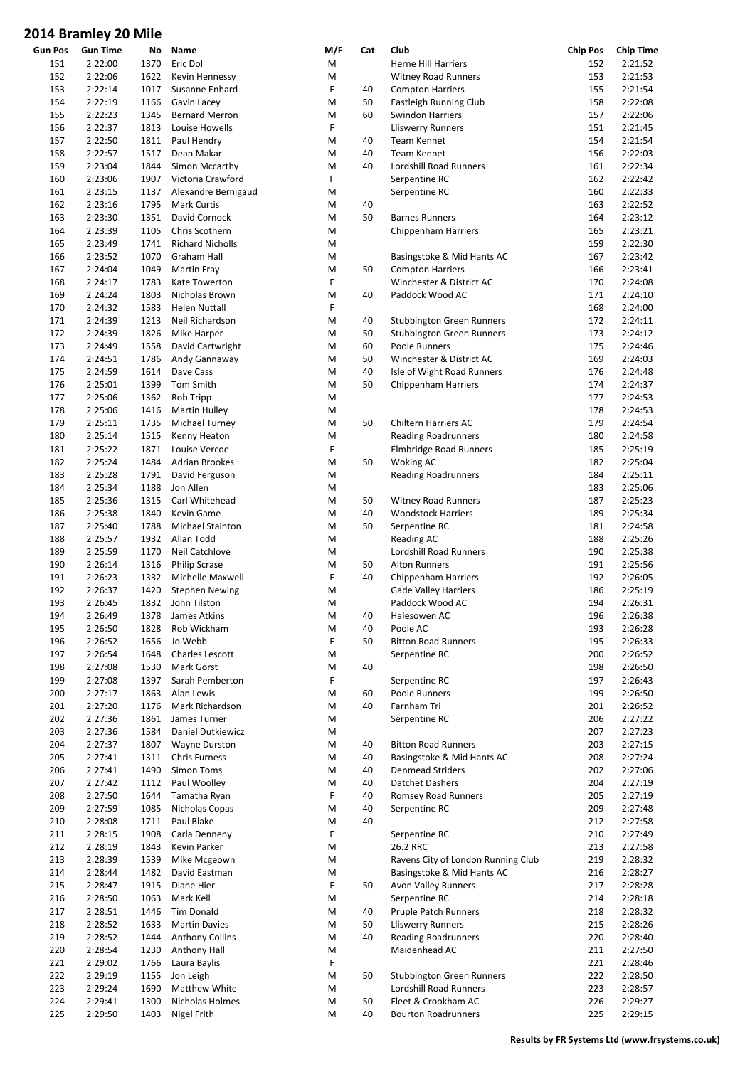|         | סווויו טג נאווווסוט דבט |      |                         |     |     |                                    |                 |                  |
|---------|-------------------------|------|-------------------------|-----|-----|------------------------------------|-----------------|------------------|
| Gun Pos | <b>Gun Time</b>         | No   | Name                    | M/F | Cat | Club                               | <b>Chip Pos</b> | <b>Chip Time</b> |
| 151     | 2:22:00                 | 1370 | Eric Dol                | M   |     | <b>Herne Hill Harriers</b>         | 152             | 2:21:52          |
| 152     | 2:22:06                 | 1622 | Kevin Hennessy          | M   |     | <b>Witney Road Runners</b>         | 153             | 2:21:53          |
| 153     | 2:22:14                 | 1017 | Susanne Enhard          | F   | 40  | <b>Compton Harriers</b>            | 155             | 2:21:54          |
| 154     | 2:22:19                 | 1166 | Gavin Lacey             | M   | 50  |                                    | 158             | 2:22:08          |
|         |                         |      |                         |     |     | Eastleigh Running Club             |                 |                  |
| 155     | 2:22:23                 | 1345 | <b>Bernard Merron</b>   | M   | 60  | <b>Swindon Harriers</b>            | 157             | 2:22:06          |
| 156     | 2:22:37                 | 1813 | Louise Howells          | F   |     | <b>Lliswerry Runners</b>           | 151             | 2:21:45          |
| 157     | 2:22:50                 | 1811 | Paul Hendry             | M   | 40  | Team Kennet                        | 154             | 2:21:54          |
| 158     | 2:22:57                 | 1517 | Dean Makar              | M   | 40  | Team Kennet                        | 156             | 2:22:03          |
| 159     | 2:23:04                 | 1844 | Simon Mccarthy          | M   | 40  | Lordshill Road Runners             | 161             | 2:22:34          |
| 160     | 2:23:06                 | 1907 | Victoria Crawford       | F   |     | Serpentine RC                      | 162             | 2:22:42          |
| 161     | 2:23:15                 | 1137 | Alexandre Bernigaud     | M   |     | Serpentine RC                      | 160             | 2:22:33          |
| 162     | 2:23:16                 | 1795 | <b>Mark Curtis</b>      | M   | 40  |                                    | 163             | 2:22:52          |
|         |                         |      |                         |     |     |                                    |                 |                  |
| 163     | 2:23:30                 | 1351 | David Cornock           | M   | 50  | <b>Barnes Runners</b>              | 164             | 2:23:12          |
| 164     | 2:23:39                 | 1105 | Chris Scothern          | M   |     | Chippenham Harriers                | 165             | 2:23:21          |
| 165     | 2:23:49                 | 1741 | <b>Richard Nicholls</b> | M   |     |                                    | 159             | 2:22:30          |
| 166     | 2:23:52                 | 1070 | Graham Hall             | M   |     | Basingstoke & Mid Hants AC         | 167             | 2:23:42          |
| 167     | 2:24:04                 | 1049 | <b>Martin Fray</b>      | M   | 50  | <b>Compton Harriers</b>            | 166             | 2:23:41          |
| 168     | 2:24:17                 | 1783 | Kate Towerton           | F   |     | Winchester & District AC           | 170             | 2:24:08          |
| 169     | 2:24:24                 | 1803 | Nicholas Brown          | M   | 40  | Paddock Wood AC                    | 171             | 2:24:10          |
|         | 2:24:32                 |      |                         | F   |     |                                    |                 | 2:24:00          |
| 170     |                         | 1583 | <b>Helen Nuttall</b>    |     |     |                                    | 168             |                  |
| 171     | 2:24:39                 | 1213 | Neil Richardson         | M   | 40  | <b>Stubbington Green Runners</b>   | 172             | 2:24:11          |
| 172     | 2:24:39                 | 1826 | Mike Harper             | M   | 50  | <b>Stubbington Green Runners</b>   | 173             | 2:24:12          |
| 173     | 2:24:49                 | 1558 | David Cartwright        | M   | 60  | Poole Runners                      | 175             | 2:24:46          |
| 174     | 2:24:51                 | 1786 | Andy Gannaway           | M   | 50  | Winchester & District AC           | 169             | 2:24:03          |
| 175     | 2:24:59                 | 1614 | Dave Cass               | M   | 40  | Isle of Wight Road Runners         | 176             | 2:24:48          |
| 176     | 2:25:01                 | 1399 | Tom Smith               | M   | 50  | Chippenham Harriers                | 174             | 2:24:37          |
|         |                         |      |                         | M   |     |                                    |                 | 2:24:53          |
| 177     | 2:25:06                 | 1362 | Rob Tripp               |     |     |                                    | 177             |                  |
| 178     | 2:25:06                 | 1416 | <b>Martin Hulley</b>    | M   |     |                                    | 178             | 2:24:53          |
| 179     | 2:25:11                 | 1735 | Michael Turney          | M   | 50  | Chiltern Harriers AC               | 179             | 2:24:54          |
| 180     | 2:25:14                 | 1515 | Kenny Heaton            | M   |     | <b>Reading Roadrunners</b>         | 180             | 2:24:58          |
| 181     | 2:25:22                 | 1871 | Louise Vercoe           | F   |     | Elmbridge Road Runners             | 185             | 2:25:19          |
| 182     | 2:25:24                 | 1484 | <b>Adrian Brookes</b>   | M   | 50  | <b>Woking AC</b>                   | 182             | 2:25:04          |
| 183     | 2:25:28                 | 1791 | David Ferguson          | M   |     | <b>Reading Roadrunners</b>         | 184             | 2:25:11          |
|         |                         | 1188 | Jon Allen               | M   |     |                                    | 183             | 2:25:06          |
| 184     | 2:25:34                 |      |                         |     |     |                                    |                 |                  |
| 185     | 2:25:36                 | 1315 | Carl Whitehead          | M   | 50  | <b>Witney Road Runners</b>         | 187             | 2:25:23          |
| 186     | 2:25:38                 | 1840 | Kevin Game              | M   | 40  | <b>Woodstock Harriers</b>          | 189             | 2:25:34          |
| 187     | 2:25:40                 | 1788 | Michael Stainton        | M   | 50  | Serpentine RC                      | 181             | 2:24:58          |
| 188     | 2:25:57                 | 1932 | Allan Todd              | M   |     | Reading AC                         | 188             | 2:25:26          |
| 189     | 2:25:59                 | 1170 | Neil Catchlove          | M   |     | Lordshill Road Runners             | 190             | 2:25:38          |
| 190     | 2:26:14                 | 1316 | <b>Philip Scrase</b>    | M   | 50  | <b>Alton Runners</b>               | 191             | 2:25:56          |
| 191     | 2:26:23                 | 1332 | Michelle Maxwell        | F   | 40  |                                    | 192             | 2:26:05          |
|         |                         |      |                         |     |     | <b>Chippenham Harriers</b>         |                 |                  |
| 192     | 2:26:37                 | 1420 | <b>Stephen Newing</b>   | M   |     | <b>Gade Valley Harriers</b>        | 186             | 2:25:19          |
| 193     | 2:26:45                 |      | 1832 John Tilston       | M   |     | Paddock Wood AC                    | 194             | 2:26:31          |
| 194     | 2:26:49                 | 1378 | James Atkins            | M   | 40  | Halesowen AC                       | 196             | 2:26:38          |
| 195     | 2:26:50                 | 1828 | Rob Wickham             | M   | 40  | Poole AC                           | 193             | 2:26:28          |
| 196     | 2:26:52                 | 1656 | Jo Webb                 | F   | 50  | <b>Bitton Road Runners</b>         | 195             | 2:26:33          |
| 197     | 2:26:54                 | 1648 | <b>Charles Lescott</b>  | M   |     | Serpentine RC                      | 200             | 2:26:52          |
| 198     | 2:27:08                 | 1530 | Mark Gorst              | M   | 40  |                                    | 198             | 2:26:50          |
| 199     | 2:27:08                 | 1397 | Sarah Pemberton         | F   |     | Serpentine RC                      | 197             | 2:26:43          |
|         |                         |      |                         |     |     |                                    |                 |                  |
| 200     | 2:27:17                 | 1863 | Alan Lewis              | M   | 60  | Poole Runners                      | 199             | 2:26:50          |
| 201     | 2:27:20                 | 1176 | Mark Richardson         | M   | 40  | Farnham Tri                        | 201             | 2:26:52          |
| 202     | 2:27:36                 | 1861 | James Turner            | M   |     | Serpentine RC                      | 206             | 2:27:22          |
| 203     | 2:27:36                 | 1584 | Daniel Dutkiewicz       | M   |     |                                    | 207             | 2:27:23          |
| 204     | 2:27:37                 | 1807 | <b>Wayne Durston</b>    | M   | 40  | <b>Bitton Road Runners</b>         | 203             | 2:27:15          |
| 205     | 2:27:41                 | 1311 | <b>Chris Furness</b>    | M   | 40  | Basingstoke & Mid Hants AC         | 208             | 2:27:24          |
| 206     | 2:27:41                 | 1490 | Simon Toms              | M   | 40  | <b>Denmead Striders</b>            | 202             | 2:27:06          |
| 207     | 2:27:42                 |      | Paul Woolley            | M   | 40  | Datchet Dashers                    | 204             | 2:27:19          |
|         |                         | 1112 |                         |     |     |                                    |                 |                  |
| 208     | 2:27:50                 | 1644 | Tamatha Ryan            | F   | 40  | Romsey Road Runners                | 205             | 2:27:19          |
| 209     | 2:27:59                 | 1085 | Nicholas Copas          | M   | 40  | Serpentine RC                      | 209             | 2:27:48          |
| 210     | 2:28:08                 | 1711 | Paul Blake              | M   | 40  |                                    | 212             | 2:27:58          |
| 211     | 2:28:15                 | 1908 | Carla Denneny           | F   |     | Serpentine RC                      | 210             | 2:27:49          |
| 212     | 2:28:19                 | 1843 | Kevin Parker            | M   |     | 26.2 RRC                           | 213             | 2:27:58          |
| 213     | 2:28:39                 | 1539 | Mike Mcgeown            | M   |     | Ravens City of London Running Club | 219             | 2:28:32          |
| 214     | 2:28:44                 | 1482 | David Eastman           | M   |     | Basingstoke & Mid Hants AC         | 216             | 2:28:27          |
|         |                         |      |                         |     |     |                                    |                 |                  |
| 215     | 2:28:47                 | 1915 | Diane Hier              | F   | 50  | <b>Avon Valley Runners</b>         | 217             | 2:28:28          |
| 216     | 2:28:50                 | 1063 | Mark Kell               | М   |     | Serpentine RC                      | 214             | 2:28:18          |
| 217     | 2:28:51                 | 1446 | Tim Donald              | M   | 40  | <b>Pruple Patch Runners</b>        | 218             | 2:28:32          |
| 218     | 2:28:52                 | 1633 | <b>Martin Davies</b>    | M   | 50  | <b>Lliswerry Runners</b>           | 215             | 2:28:26          |
| 219     | 2:28:52                 | 1444 | <b>Anthony Collins</b>  | M   | 40  | <b>Reading Roadrunners</b>         | 220             | 2:28:40          |
| 220     | 2:28:54                 | 1230 | Anthony Hall            | M   |     | Maidenhead AC                      | 211             | 2:27:50          |
| 221     | 2:29:02                 | 1766 | Laura Baylis            | F   |     |                                    | 221             | 2:28:46          |
| 222     | 2:29:19                 | 1155 | Jon Leigh               | M   | 50  | <b>Stubbington Green Runners</b>   | 222             | 2:28:50          |
|         |                         |      |                         |     |     |                                    |                 |                  |
| 223     | 2:29:24                 | 1690 | Matthew White           | M   |     | Lordshill Road Runners             | 223             | 2:28:57          |
| 224     | 2:29:41                 | 1300 | Nicholas Holmes         | M   | 50  | Fleet & Crookham AC                | 226             | 2:29:27          |
| 225     | 2:29:50                 | 1403 | Nigel Frith             | M   | 40  | <b>Bourton Roadrunners</b>         | 225             | 2:29:15          |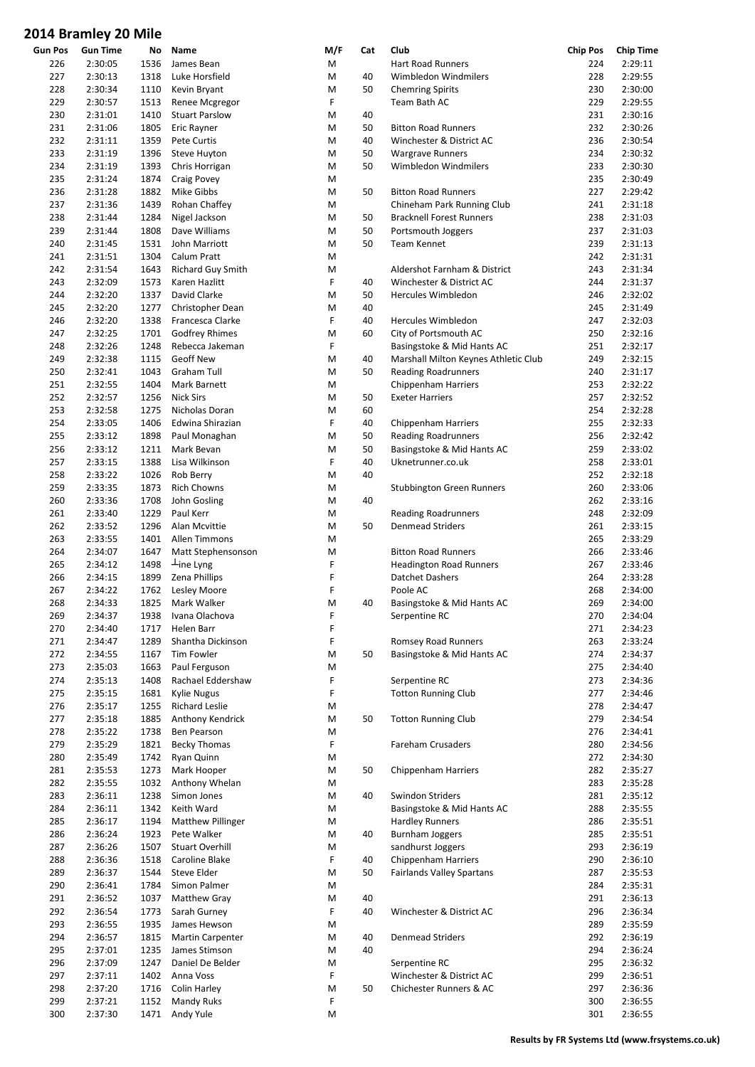|         | סווייו טג פוויוופוט דבט |      |                          |        |     |                                      |                 |                  |
|---------|-------------------------|------|--------------------------|--------|-----|--------------------------------------|-----------------|------------------|
| Gun Pos | <b>Gun Time</b>         | No   | Name                     | M/F    | Cat | Club                                 | <b>Chip Pos</b> | <b>Chip Time</b> |
| 226     | 2:30:05                 | 1536 | James Bean               | M      |     | <b>Hart Road Runners</b>             | 224             | 2:29:11          |
| 227     | 2:30:13                 | 1318 | Luke Horsfield           | M      | 40  | Wimbledon Windmilers                 | 228             | 2:29:55          |
| 228     | 2:30:34                 | 1110 | Kevin Bryant             | M      | 50  | <b>Chemring Spirits</b>              | 230             | 2:30:00          |
| 229     | 2:30:57                 | 1513 | Renee Mcgregor           | F      |     | Team Bath AC                         | 229             | 2:29:55          |
| 230     | 2:31:01                 | 1410 | <b>Stuart Parslow</b>    | M      | 40  |                                      | 231             | 2:30:16          |
| 231     | 2:31:06                 | 1805 | Eric Rayner              | M      | 50  | <b>Bitton Road Runners</b>           | 232             | 2:30:26          |
| 232     | 2:31:11                 | 1359 | Pete Curtis              | M      | 40  | Winchester & District AC             | 236             | 2:30:54          |
| 233     | 2:31:19                 | 1396 | Steve Huyton             | M      | 50  | <b>Wargrave Runners</b>              | 234             | 2:30:32          |
| 234     | 2:31:19                 | 1393 | Chris Horrigan           | M      | 50  | Wimbledon Windmilers                 | 233             | 2:30:30          |
| 235     | 2:31:24                 | 1874 | Craig Povey              | M      |     |                                      | 235             | 2:30:49          |
| 236     | 2:31:28                 | 1882 | Mike Gibbs               | M      | 50  | <b>Bitton Road Runners</b>           | 227             | 2:29:42          |
| 237     | 2:31:36                 | 1439 | Rohan Chaffey            | M      |     | Chineham Park Running Club           | 241             | 2:31:18          |
| 238     | 2:31:44                 | 1284 | Nigel Jackson            | M      | 50  | <b>Bracknell Forest Runners</b>      | 238             | 2:31:03          |
| 239     | 2:31:44                 | 1808 | Dave Williams            | M      | 50  | Portsmouth Joggers                   | 237             | 2:31:03          |
| 240     | 2:31:45                 | 1531 | John Marriott            | M      | 50  | <b>Team Kennet</b>                   | 239             | 2:31:13          |
| 241     | 2:31:51                 | 1304 | Calum Pratt              | M      |     |                                      | 242             | 2:31:31          |
| 242     | 2:31:54                 | 1643 | <b>Richard Guy Smith</b> | M      |     | Aldershot Farnham & District         | 243             | 2:31:34          |
| 243     | 2:32:09                 | 1573 | Karen Hazlitt            | F      | 40  | Winchester & District AC             | 244             | 2:31:37          |
| 244     | 2:32:20                 | 1337 | David Clarke             | M      | 50  | <b>Hercules Wimbledon</b>            | 246             | 2:32:02          |
| 245     | 2:32:20                 | 1277 | Christopher Dean         | M      | 40  |                                      | 245             | 2:31:49          |
| 246     | 2:32:20                 | 1338 | Francesca Clarke         | F      | 40  | Hercules Wimbledon                   | 247             | 2:32:03          |
|         |                         |      |                          |        | 60  |                                      |                 |                  |
| 247     | 2:32:25                 | 1701 | <b>Godfrey Rhimes</b>    | M<br>F |     | City of Portsmouth AC                | 250             | 2:32:16          |
| 248     | 2:32:26                 | 1248 | Rebecca Jakeman          |        |     | Basingstoke & Mid Hants AC           | 251             | 2:32:17          |
| 249     | 2:32:38                 | 1115 | <b>Geoff New</b>         | M      | 40  | Marshall Milton Keynes Athletic Club | 249             | 2:32:15          |
| 250     | 2:32:41                 | 1043 | Graham Tull              | M      | 50  | <b>Reading Roadrunners</b>           | 240             | 2:31:17          |
| 251     | 2:32:55                 | 1404 | Mark Barnett             | M      |     | <b>Chippenham Harriers</b>           | 253             | 2:32:22          |
| 252     | 2:32:57                 | 1256 | <b>Nick Sirs</b>         | M      | 50  | <b>Exeter Harriers</b>               | 257             | 2:32:52          |
| 253     | 2:32:58                 | 1275 | Nicholas Doran           | M      | 60  |                                      | 254             | 2:32:28          |
| 254     | 2:33:05                 | 1406 | Edwina Shirazian         | F      | 40  | <b>Chippenham Harriers</b>           | 255             | 2:32:33          |
| 255     | 2:33:12                 | 1898 | Paul Monaghan            | M      | 50  | <b>Reading Roadrunners</b>           | 256             | 2:32:42          |
| 256     | 2:33:12                 | 1211 | Mark Bevan               | M      | 50  | Basingstoke & Mid Hants AC           | 259             | 2:33:02          |
| 257     | 2:33:15                 | 1388 | Lisa Wilkinson           | F      | 40  | Uknetrunner.co.uk                    | 258             | 2:33:01          |
| 258     | 2:33:22                 | 1026 | Rob Berry                | M      | 40  |                                      | 252             | 2:32:18          |
| 259     | 2:33:35                 | 1873 | <b>Rich Chowns</b>       | M      |     | <b>Stubbington Green Runners</b>     | 260             | 2:33:06          |
| 260     | 2:33:36                 | 1708 | John Gosling             | M      | 40  |                                      | 262             | 2:33:16          |
| 261     | 2:33:40                 | 1229 | Paul Kerr                | M      |     | <b>Reading Roadrunners</b>           | 248             | 2:32:09          |
| 262     | 2:33:52                 | 1296 | Alan Mcvittie            | M      | 50  | <b>Denmead Striders</b>              | 261             | 2:33:15          |
| 263     | 2:33:55                 | 1401 | <b>Allen Timmons</b>     | M      |     |                                      | 265             | 2:33:29          |
| 264     | 2:34:07                 | 1647 | Matt Stephensonson       | M      |     | <b>Bitton Road Runners</b>           | 266             | 2:33:46          |
| 265     | 2:34:12                 | 1498 | $\perp$ ine Lyng         | F      |     | <b>Headington Road Runners</b>       | 267             | 2:33:46          |
| 266     | 2:34:15                 | 1899 | Zena Phillips            | F      |     | Datchet Dashers                      | 264             | 2:33:28          |
| 267     | 2:34:22                 | 1762 | Lesley Moore             | F      |     | Poole AC                             | 268             | 2:34:00          |
| 268     | 2:34:33                 |      | 1825 Mark Walker         | M      | 40  | Basingstoke & Mid Hants AC           | 269             | 2:34:00          |
| 269     | 2:34:37                 | 1938 | Ivana Olachova           | F      |     | Serpentine RC                        | 270             | 2:34:04          |
| 270     | 2:34:40                 | 1717 | Helen Barr               | F      |     |                                      | 271             | 2:34:23          |
| 271     | 2:34:47                 | 1289 | Shantha Dickinson        | F      |     | Romsey Road Runners                  | 263             | 2:33:24          |
| 272     | 2:34:55                 | 1167 | Tim Fowler               | M      | 50  | Basingstoke & Mid Hants AC           | 274             | 2:34:37          |
| 273     | 2:35:03                 | 1663 | Paul Ferguson            | M      |     |                                      | 275             | 2:34:40          |
| 274     | 2:35:13                 | 1408 | Rachael Eddershaw        | F      |     | Serpentine RC                        | 273             | 2:34:36          |
| 275     | 2:35:15                 | 1681 | <b>Kylie Nugus</b>       | F      |     | <b>Totton Running Club</b>           | 277             | 2:34:46          |
| 276     | 2:35:17                 | 1255 | Richard Leslie           | M      |     |                                      | 278             | 2:34:47          |
| 277     | 2:35:18                 | 1885 | Anthony Kendrick         | M      | 50  | <b>Totton Running Club</b>           | 279             | 2:34:54          |
| 278     | 2:35:22                 | 1738 | Ben Pearson              | M      |     |                                      | 276             | 2:34:41          |
| 279     | 2:35:29                 | 1821 | <b>Becky Thomas</b>      | F      |     | Fareham Crusaders                    | 280             | 2:34:56          |
| 280     | 2:35:49                 | 1742 | Ryan Quinn               | M      |     |                                      | 272             | 2:34:30          |
| 281     | 2:35:53                 | 1273 | Mark Hooper              | M      | 50  | <b>Chippenham Harriers</b>           | 282             | 2:35:27          |
| 282     | 2:35:55                 | 1032 | Anthony Whelan           | M      |     |                                      | 283             | 2:35:28          |
| 283     | 2:36:11                 | 1238 | Simon Jones              | M      | 40  | Swindon Striders                     | 281             | 2:35:12          |
| 284     | 2:36:11                 | 1342 | Keith Ward               | M      |     | Basingstoke & Mid Hants AC           | 288             | 2:35:55          |
|         |                         |      |                          |        |     |                                      |                 |                  |
| 285     | 2:36:17                 | 1194 | <b>Matthew Pillinger</b> | M      |     | <b>Hardley Runners</b>               | 286             | 2:35:51          |
| 286     | 2:36:24                 | 1923 | Pete Walker              | M      | 40  | <b>Burnham Joggers</b>               | 285             | 2:35:51          |
| 287     | 2:36:26                 | 1507 | <b>Stuart Overhill</b>   | M      |     | sandhurst Joggers                    | 293             | 2:36:19          |
| 288     | 2:36:36                 | 1518 | Caroline Blake           | F      | 40  | <b>Chippenham Harriers</b>           | 290             | 2:36:10          |
| 289     | 2:36:37                 | 1544 | Steve Elder              | M      | 50  | <b>Fairlands Valley Spartans</b>     | 287             | 2:35:53          |
| 290     | 2:36:41                 | 1784 | Simon Palmer             | M      |     |                                      | 284             | 2:35:31          |
| 291     | 2:36:52                 | 1037 | Matthew Gray             | M      | 40  |                                      | 291             | 2:36:13          |
| 292     | 2:36:54                 | 1773 | Sarah Gurney             | F      | 40  | Winchester & District AC             | 296             | 2:36:34          |
| 293     | 2:36:55                 | 1935 | James Hewson             | M      |     |                                      | 289             | 2:35:59          |
| 294     | 2:36:57                 | 1815 | <b>Martin Carpenter</b>  | M      | 40  | <b>Denmead Striders</b>              | 292             | 2:36:19          |
| 295     | 2:37:01                 | 1235 | James Stimson            | M      | 40  |                                      | 294             | 2:36:24          |
| 296     | 2:37:09                 | 1247 | Daniel De Belder         | M      |     | Serpentine RC                        | 295             | 2:36:32          |
| 297     | 2:37:11                 | 1402 | Anna Voss                | F      |     | Winchester & District AC             | 299             | 2:36:51          |
| 298     | 2:37:20                 | 1716 | Colin Harley             | M      | 50  | Chichester Runners & AC              | 297             | 2:36:36          |
| 299     | 2:37:21                 | 1152 | <b>Mandy Ruks</b>        | F      |     |                                      | 300             | 2:36:55          |
| 300     | 2:37:30                 | 1471 | Andy Yule                | M      |     |                                      | 301             | 2:36:55          |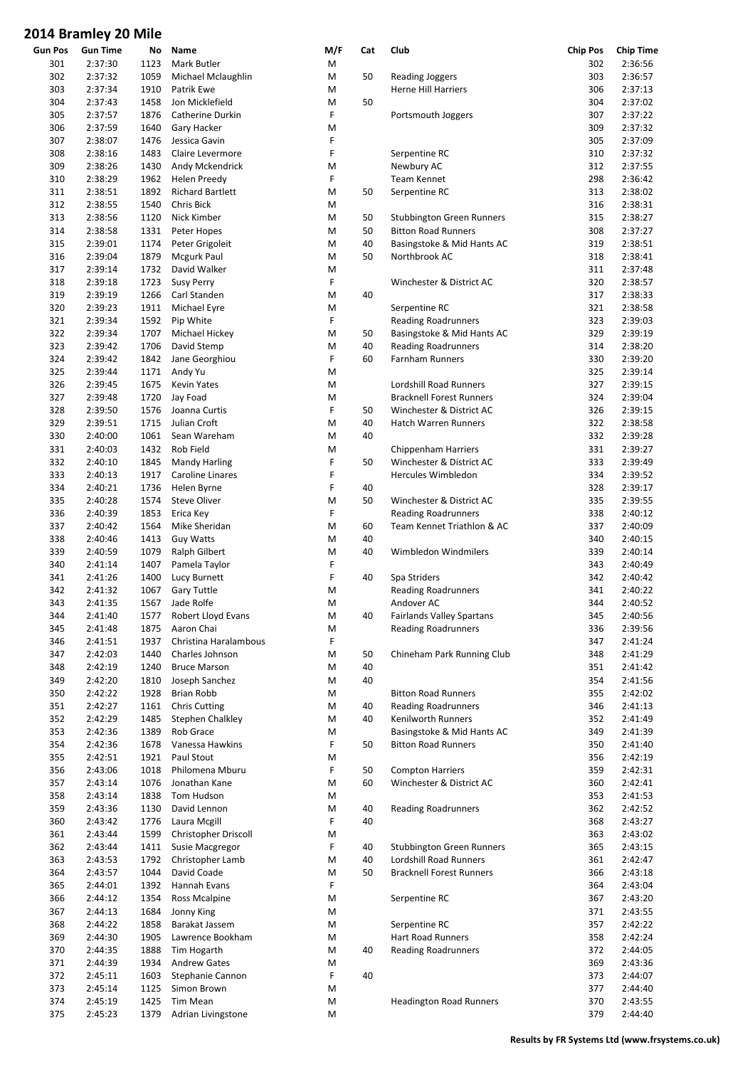| <b>Gun Pos</b> | <b>Gun Time</b> | No   | Name                    | M/F | Cat | Club                             | <b>Chip Pos</b> | <b>Chip Time</b> |
|----------------|-----------------|------|-------------------------|-----|-----|----------------------------------|-----------------|------------------|
| 301            | 2:37:30         | 1123 | Mark Butler             | M   |     |                                  | 302             | 2:36:56          |
| 302            | 2:37:32         | 1059 | Michael Mclaughlin      | M   | 50  | <b>Reading Joggers</b>           | 303             | 2:36:57          |
| 303            | 2:37:34         | 1910 | Patrik Ewe              | M   |     | <b>Herne Hill Harriers</b>       | 306             | 2:37:13          |
| 304            | 2:37:43         | 1458 | Jon Micklefield         | M   | 50  |                                  | 304             | 2:37:02          |
| 305            | 2:37:57         | 1876 | Catherine Durkin        | F   |     | Portsmouth Joggers               | 307             | 2:37:22          |
| 306            | 2:37:59         | 1640 | Gary Hacker             | M   |     |                                  | 309             | 2:37:32          |
| 307            | 2:38:07         | 1476 | Jessica Gavin           | F   |     |                                  | 305             | 2:37:09          |
| 308            | 2:38:16         | 1483 | Claire Levermore        | F   |     | Serpentine RC                    | 310             | 2:37:32          |
| 309            | 2:38:26         | 1430 | Andy Mckendrick         | М   |     | Newbury AC                       | 312             | 2:37:55          |
| 310            | 2:38:29         | 1962 | Helen Preedy            | F   |     | <b>Team Kennet</b>               | 298             | 2:36:42          |
|                |                 |      |                         |     | 50  |                                  |                 |                  |
| 311            | 2:38:51         | 1892 | <b>Richard Bartlett</b> | M   |     | Serpentine RC                    | 313             | 2:38:02          |
| 312            | 2:38:55         | 1540 | Chris Bick              | M   |     |                                  | 316             | 2:38:31          |
| 313            | 2:38:56         | 1120 | Nick Kimber             | M   | 50  | <b>Stubbington Green Runners</b> | 315             | 2:38:27          |
| 314            | 2:38:58         | 1331 | Peter Hopes             | M   | 50  | <b>Bitton Road Runners</b>       | 308             | 2:37:27          |
| 315            | 2:39:01         | 1174 | Peter Grigoleit         | M   | 40  | Basingstoke & Mid Hants AC       | 319             | 2:38:51          |
| 316            | 2:39:04         | 1879 | Mcgurk Paul             | M   | 50  | Northbrook AC                    | 318             | 2:38:41          |
| 317            | 2:39:14         | 1732 | David Walker            | M   |     |                                  | 311             | 2:37:48          |
| 318            | 2:39:18         | 1723 | <b>Susy Perry</b>       | F   |     | Winchester & District AC         | 320             | 2:38:57          |
| 319            | 2:39:19         | 1266 | Carl Standen            | M   | 40  |                                  | 317             | 2:38:33          |
| 320            | 2:39:23         | 1911 | Michael Eyre            | M   |     | Serpentine RC                    | 321             | 2:38:58          |
| 321            | 2:39:34         | 1592 | Pip White               | F   |     | <b>Reading Roadrunners</b>       | 323             | 2:39:03          |
| 322            | 2:39:34         | 1707 | Michael Hickey          | M   | 50  | Basingstoke & Mid Hants AC       | 329             | 2:39:19          |
| 323            | 2:39:42         | 1706 | David Stemp             | M   | 40  | <b>Reading Roadrunners</b>       | 314             | 2:38:20          |
| 324            | 2:39:42         | 1842 | Jane Georghiou          | F   | 60  | <b>Farnham Runners</b>           | 330             | 2:39:20          |
| 325            | 2:39:44         | 1171 |                         | M   |     |                                  | 325             | 2:39:14          |
|                |                 |      | Andy Yu                 |     |     |                                  |                 |                  |
| 326            | 2:39:45         | 1675 | Kevin Yates             | M   |     | Lordshill Road Runners           | 327             | 2:39:15          |
| 327            | 2:39:48         | 1720 | Jay Foad                | M   |     | <b>Bracknell Forest Runners</b>  | 324             | 2:39:04          |
| 328            | 2:39:50         | 1576 | Joanna Curtis           | F   | 50  | Winchester & District AC         | 326             | 2:39:15          |
| 329            | 2:39:51         | 1715 | Julian Croft            | М   | 40  | Hatch Warren Runners             | 322             | 2:38:58          |
| 330            | 2:40:00         | 1061 | Sean Wareham            | M   | 40  |                                  | 332             | 2:39:28          |
| 331            | 2:40:03         | 1432 | Rob Field               | M   |     | <b>Chippenham Harriers</b>       | 331             | 2:39:27          |
| 332            | 2:40:10         | 1845 | <b>Mandy Harling</b>    | F   | 50  | Winchester & District AC         | 333             | 2:39:49          |
| 333            | 2:40:13         | 1917 | Caroline Linares        | F   |     | Hercules Wimbledon               | 334             | 2:39:52          |
| 334            | 2:40:21         | 1736 | Helen Byrne             | F   | 40  |                                  | 328             | 2:39:17          |
| 335            | 2:40:28         | 1574 | <b>Steve Oliver</b>     | M   | 50  | Winchester & District AC         | 335             | 2:39:55          |
| 336            | 2:40:39         | 1853 | Erica Key               | F   |     | <b>Reading Roadrunners</b>       | 338             | 2:40:12          |
| 337            | 2:40:42         | 1564 | Mike Sheridan           | M   | 60  | Team Kennet Triathlon & AC       | 337             | 2:40:09          |
| 338            | 2:40:46         | 1413 | <b>Guy Watts</b>        | M   | 40  |                                  | 340             | 2:40:15          |
| 339            | 2:40:59         | 1079 | Ralph Gilbert           | M   | 40  | Wimbledon Windmilers             | 339             | 2:40:14          |
| 340            | 2:41:14         | 1407 | Pamela Taylor           | F   |     |                                  | 343             | 2:40:49          |
|                |                 |      |                         | F   | 40  |                                  | 342             |                  |
| 341            | 2:41:26         | 1400 | Lucy Burnett            |     |     | Spa Striders                     |                 | 2:40:42          |
| 342            | 2:41:32         | 1067 | <b>Gary Tuttle</b>      | Μ   |     | <b>Reading Roadrunners</b>       | 341             | 2:40:22          |
| 343            | 2:41:35         | 1567 | Jade Rolfe              | М   |     | Andover AC                       | 344             | 2:40:52          |
| 344            | 2:41:40         | 1577 | Robert Lloyd Evans      | M   | 40  | Fairlands Valley Spartans        | 345             | 2:40:56          |
| 345            | 2:41:48         | 1875 | Aaron Chai              | М   |     | <b>Reading Roadrunners</b>       | 336             | 2:39:56          |
| 346            | 2:41:51         | 1937 | Christina Haralambous   | F   |     |                                  | 347             | 2:41:24          |
| 347            | 2:42:03         | 1440 | Charles Johnson         | M   | 50  | Chineham Park Running Club       | 348             | 2:41:29          |
| 348            | 2:42:19         | 1240 | <b>Bruce Marson</b>     | M   | 40  |                                  | 351             | 2:41:42          |
| 349            | 2:42:20         | 1810 | Joseph Sanchez          | M   | 40  |                                  | 354             | 2:41:56          |
| 350            | 2:42:22         | 1928 | Brian Robb              | M   |     | <b>Bitton Road Runners</b>       | 355             | 2:42:02          |
| 351            | 2:42:27         | 1161 | <b>Chris Cutting</b>    | Μ   | 40  | <b>Reading Roadrunners</b>       | 346             | 2:41:13          |
| 352            | 2:42:29         | 1485 | Stephen Chalkley        | М   | 40  | Kenilworth Runners               | 352             | 2:41:49          |
| 353            | 2:42:36         | 1389 | Rob Grace               | M   |     | Basingstoke & Mid Hants AC       | 349             | 2:41:39          |
| 354            | 2:42:36         | 1678 | Vanessa Hawkins         | F   | 50  | <b>Bitton Road Runners</b>       | 350             | 2:41:40          |
| 355            | 2:42:51         | 1921 | Paul Stout              | М   |     |                                  | 356             | 2:42:19          |
| 356            | 2:43:06         | 1018 | Philomena Mburu         | F   | 50  | <b>Compton Harriers</b>          | 359             | 2:42:31          |
| 357            | 2:43:14         | 1076 | Jonathan Kane           | Μ   | 60  | Winchester & District AC         | 360             | 2:42:41          |
| 358            | 2:43:14         | 1838 | Tom Hudson              | Μ   |     |                                  | 353             | 2:41:53          |
| 359            | 2:43:36         | 1130 | David Lennon            | M   | 40  |                                  | 362             | 2:42:52          |
|                |                 |      |                         |     |     | <b>Reading Roadrunners</b>       |                 |                  |
| 360            | 2:43:42         | 1776 | Laura Mcgill            | F   | 40  |                                  | 368             | 2:43:27          |
| 361            | 2:43:44         | 1599 | Christopher Driscoll    | M   |     |                                  | 363             | 2:43:02          |
| 362            | 2:43:44         | 1411 | Susie Macgregor         | F   | 40  | <b>Stubbington Green Runners</b> | 365             | 2:43:15          |
| 363            | 2:43:53         | 1792 | Christopher Lamb        | M   | 40  | Lordshill Road Runners           | 361             | 2:42:47          |
| 364            | 2:43:57         | 1044 | David Coade             | Μ   | 50  | <b>Bracknell Forest Runners</b>  | 366             | 2:43:18          |
| 365            | 2:44:01         | 1392 | Hannah Evans            | F   |     |                                  | 364             | 2:43:04          |
| 366            | 2:44:12         | 1354 | Ross Mcalpine           | M   |     | Serpentine RC                    | 367             | 2:43:20          |
| 367            | 2:44:13         | 1684 | Jonny King              | Μ   |     |                                  | 371             | 2:43:55          |
| 368            | 2:44:22         | 1858 | Barakat Jassem          | Μ   |     | Serpentine RC                    | 357             | 2:42:22          |
| 369            | 2:44:30         | 1905 | Lawrence Bookham        | M   |     | <b>Hart Road Runners</b>         | 358             | 2:42:24          |
| 370            | 2:44:35         | 1888 | Tim Hogarth             | Μ   | 40  | <b>Reading Roadrunners</b>       | 372             | 2:44:05          |
| 371            | 2:44:39         | 1934 | <b>Andrew Gates</b>     | М   |     |                                  | 369             | 2:43:36          |
| 372            | 2:45:11         | 1603 | Stephanie Cannon        | F   | 40  |                                  | 373             | 2:44:07          |
| 373            | 2:45:14         | 1125 | Simon Brown             | M   |     |                                  | 377             | 2:44:40          |
| 374            | 2:45:19         | 1425 | Tim Mean                | M   |     | <b>Headington Road Runners</b>   | 370             | 2:43:55          |
| 375            | 2:45:23         | 1379 | Adrian Livingstone      | M   |     |                                  | 379             | 2:44:40          |
|                |                 |      |                         |     |     |                                  |                 |                  |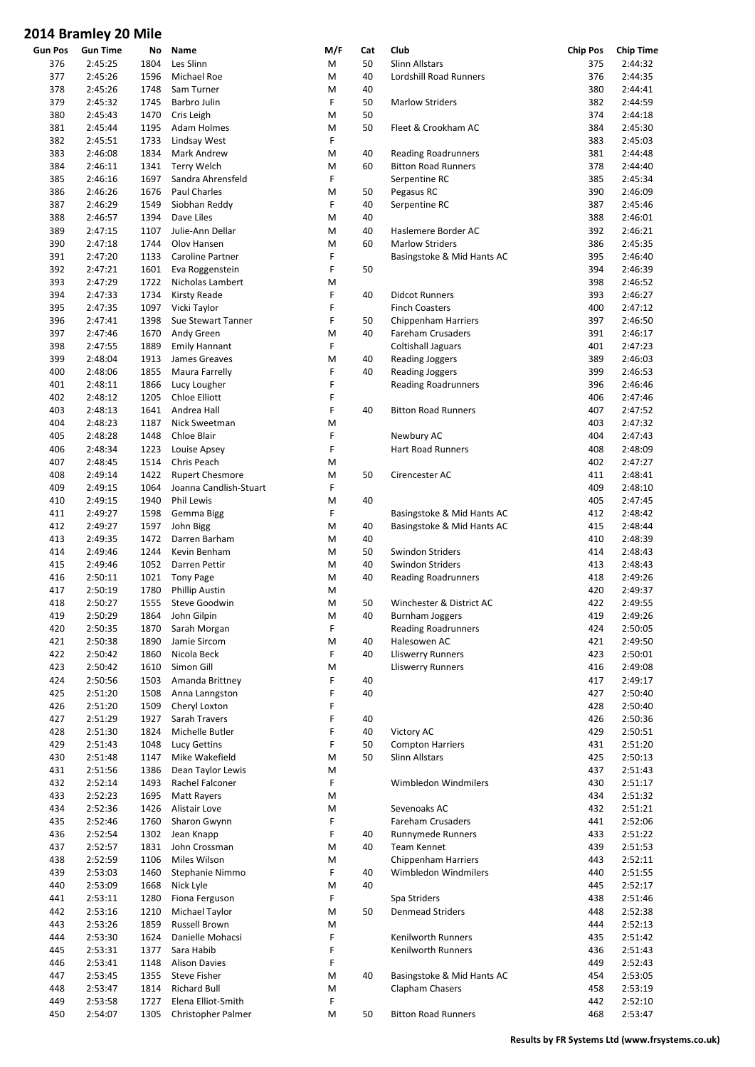|         | סווויו טג ץסווווסוט דבט |      |                        |     |     |                            |                 |                  |
|---------|-------------------------|------|------------------------|-----|-----|----------------------------|-----------------|------------------|
| Gun Pos | <b>Gun Time</b>         | No   | Name                   | M/F | Cat | Club                       | <b>Chip Pos</b> | <b>Chip Time</b> |
| 376     | 2:45:25                 | 1804 | Les Slinn              | M   | 50  | Slinn Allstars             | 375             | 2:44:32          |
| 377     | 2:45:26                 | 1596 | Michael Roe            | M   | 40  | Lordshill Road Runners     | 376             | 2:44:35          |
| 378     | 2:45:26                 | 1748 | Sam Turner             | M   | 40  |                            | 380             | 2:44:41          |
| 379     | 2:45:32                 | 1745 | Barbro Julin           | F   | 50  | <b>Marlow Striders</b>     | 382             | 2:44:59          |
| 380     | 2:45:43                 | 1470 | Cris Leigh             | M   | 50  |                            | 374             | 2:44:18          |
| 381     | 2:45:44                 | 1195 | Adam Holmes            | M   | 50  | Fleet & Crookham AC        | 384             | 2:45:30          |
| 382     | 2:45:51                 | 1733 | Lindsay West           | F   |     |                            | 383             | 2:45:03          |
| 383     | 2:46:08                 | 1834 | <b>Mark Andrew</b>     | M   | 40  | <b>Reading Roadrunners</b> | 381             | 2:44:48          |
| 384     | 2:46:11                 | 1341 | <b>Terry Welch</b>     | M   | 60  | <b>Bitton Road Runners</b> | 378             | 2:44:40          |
| 385     | 2:46:16                 | 1697 | Sandra Ahrensfeld      | F   |     | Serpentine RC              | 385             | 2:45:34          |
| 386     | 2:46:26                 | 1676 | Paul Charles           | M   | 50  | Pegasus RC                 | 390             | 2:46:09          |
| 387     | 2:46:29                 | 1549 | Siobhan Reddy          | F   | 40  | Serpentine RC              | 387             | 2:45:46          |
|         |                         |      |                        |     |     |                            |                 |                  |
| 388     | 2:46:57                 | 1394 | Dave Liles             | M   | 40  |                            | 388             | 2:46:01          |
| 389     | 2:47:15                 | 1107 | Julie-Ann Dellar       | M   | 40  | Haslemere Border AC        | 392             | 2:46:21          |
| 390     | 2:47:18                 | 1744 | Olov Hansen            | M   | 60  | <b>Marlow Striders</b>     | 386             | 2:45:35          |
| 391     | 2:47:20                 | 1133 | Caroline Partner       | F   |     | Basingstoke & Mid Hants AC | 395             | 2:46:40          |
| 392     | 2:47:21                 | 1601 | Eva Roggenstein        | F   | 50  |                            | 394             | 2:46:39          |
| 393     | 2:47:29                 | 1722 | Nicholas Lambert       | M   |     |                            | 398             | 2:46:52          |
| 394     | 2:47:33                 | 1734 | <b>Kirsty Reade</b>    | F   | 40  | <b>Didcot Runners</b>      | 393             | 2:46:27          |
| 395     | 2:47:35                 | 1097 | Vicki Taylor           | F   |     | <b>Finch Coasters</b>      | 400             | 2:47:12          |
| 396     | 2:47:41                 | 1398 | Sue Stewart Tanner     | F   | 50  | <b>Chippenham Harriers</b> | 397             | 2:46:50          |
| 397     | 2:47:46                 | 1670 | Andy Green             | M   | 40  | Fareham Crusaders          | 391             | 2:46:17          |
| 398     | 2:47:55                 | 1889 | <b>Emily Hannant</b>   | F   |     | <b>Coltishall Jaguars</b>  | 401             | 2:47:23          |
| 399     | 2:48:04                 | 1913 | James Greaves          | M   | 40  | <b>Reading Joggers</b>     | 389             | 2:46:03          |
| 400     | 2:48:06                 | 1855 | Maura Farrelly         | F   | 40  | <b>Reading Joggers</b>     | 399             | 2:46:53          |
|         |                         |      |                        | F   |     |                            |                 |                  |
| 401     | 2:48:11                 | 1866 | Lucy Lougher           |     |     | <b>Reading Roadrunners</b> | 396             | 2:46:46          |
| 402     | 2:48:12                 | 1205 | Chloe Elliott          | F   |     |                            | 406             | 2:47:46          |
| 403     | 2:48:13                 | 1641 | Andrea Hall            | F   | 40  | <b>Bitton Road Runners</b> | 407             | 2:47:52          |
| 404     | 2:48:23                 | 1187 | Nick Sweetman          | M   |     |                            | 403             | 2:47:32          |
| 405     | 2:48:28                 | 1448 | Chloe Blair            | F   |     | Newbury AC                 | 404             | 2:47:43          |
| 406     | 2:48:34                 | 1223 | Louise Apsey           | F   |     | Hart Road Runners          | 408             | 2:48:09          |
| 407     | 2:48:45                 | 1514 | Chris Peach            | M   |     |                            | 402             | 2:47:27          |
| 408     | 2:49:14                 | 1422 | <b>Rupert Chesmore</b> | M   | 50  | Cirencester AC             | 411             | 2:48:41          |
| 409     | 2:49:15                 | 1064 | Joanna Candlish-Stuart | F   |     |                            | 409             | 2:48:10          |
| 410     | 2:49:15                 | 1940 | Phil Lewis             | M   | 40  |                            | 405             | 2:47:45          |
| 411     | 2:49:27                 | 1598 | Gemma Bigg             | F   |     | Basingstoke & Mid Hants AC | 412             | 2:48:42          |
| 412     | 2:49:27                 | 1597 | John Bigg              | M   | 40  | Basingstoke & Mid Hants AC | 415             | 2:48:44          |
| 413     | 2:49:35                 | 1472 | Darren Barham          | M   | 40  |                            | 410             | 2:48:39          |
|         |                         |      |                        |     |     |                            |                 |                  |
| 414     | 2:49:46                 | 1244 | Kevin Benham           | M   | 50  | Swindon Striders           | 414             | 2:48:43          |
| 415     | 2:49:46                 | 1052 | Darren Pettir          | M   | 40  | <b>Swindon Striders</b>    | 413             | 2:48:43          |
| 416     | 2:50:11                 | 1021 | <b>Tony Page</b>       | M   | 40  | <b>Reading Roadrunners</b> | 418             | 2:49:26          |
| 417     | 2:50:19                 | 1780 | <b>Phillip Austin</b>  | M   |     |                            | 420             | 2:49:37          |
| 418     | 2:50:27                 | 1555 | Steve Goodwin          | M   | 50  | Winchester & District AC   | 422             | 2:49:55          |
| 419     | 2:50:29                 | 1864 | John Gilpin            | M   | 40  | <b>Burnham Joggers</b>     | 419             | 2:49:26          |
| 420     | 2:50:35                 | 1870 | Sarah Morgan           | F   |     | <b>Reading Roadrunners</b> | 424             | 2:50:05          |
| 421     | 2:50:38                 | 1890 | Jamie Sircom           | M   | 40  | Halesowen AC               | 421             | 2:49:50          |
| 422     | 2:50:42                 | 1860 | Nicola Beck            | F   | 40  | <b>Lliswerry Runners</b>   | 423             | 2:50:01          |
| 423     | 2:50:42                 | 1610 | Simon Gill             | M   |     | <b>Lliswerry Runners</b>   | 416             | 2:49:08          |
| 424     | 2:50:56                 | 1503 | Amanda Brittney        | F   | 40  |                            | 417             | 2:49:17          |
| 425     | 2:51:20                 | 1508 | Anna Lanngston         | F   | 40  |                            | 427             | 2:50:40          |
| 426     | 2:51:20                 | 1509 | Cheryl Loxton          | F   |     |                            | 428             | 2:50:40          |
| 427     | 2:51:29                 | 1927 | Sarah Travers          | F   | 40  |                            | 426             | 2:50:36          |
|         |                         |      |                        | F   |     |                            | 429             |                  |
| 428     | 2:51:30                 | 1824 | Michelle Butler        |     | 40  | Victory AC                 |                 | 2:50:51          |
| 429     | 2:51:43                 | 1048 | Lucy Gettins           | F   | 50  | <b>Compton Harriers</b>    | 431             | 2:51:20          |
| 430     | 2:51:48                 | 1147 | Mike Wakefield         | M   | 50  | <b>Slinn Allstars</b>      | 425             | 2:50:13          |
| 431     | 2:51:56                 | 1386 | Dean Taylor Lewis      | Μ   |     |                            | 437             | 2:51:43          |
| 432     | 2:52:14                 | 1493 | Rachel Falconer        | F   |     | Wimbledon Windmilers       | 430             | 2:51:17          |
| 433     | 2:52:23                 | 1695 | <b>Matt Rayers</b>     | Μ   |     |                            | 434             | 2:51:32          |
| 434     | 2:52:36                 | 1426 | Alistair Love          | M   |     | Sevenoaks AC               | 432             | 2:51:21          |
| 435     | 2:52:46                 | 1760 | Sharon Gwynn           | F   |     | Fareham Crusaders          | 441             | 2:52:06          |
| 436     | 2:52:54                 | 1302 | Jean Knapp             | F   | 40  | Runnymede Runners          | 433             | 2:51:22          |
| 437     | 2:52:57                 | 1831 | John Crossman          | M   | 40  | Team Kennet                | 439             | 2:51:53          |
| 438     | 2:52:59                 | 1106 | Miles Wilson           | M   |     | <b>Chippenham Harriers</b> | 443             | 2:52:11          |
| 439     | 2:53:03                 | 1460 | Stephanie Nimmo        | F   | 40  | Wimbledon Windmilers       | 440             | 2:51:55          |
|         |                         |      |                        |     | 40  |                            |                 |                  |
| 440     | 2:53:09                 | 1668 | Nick Lyle              | M   |     |                            | 445             | 2:52:17          |
| 441     | 2:53:11                 | 1280 | Fiona Ferguson         | F   |     | Spa Striders               | 438             | 2:51:46          |
| 442     | 2:53:16                 | 1210 | Michael Taylor         | Μ   | 50  | <b>Denmead Striders</b>    | 448             | 2:52:38          |
| 443     | 2:53:26                 | 1859 | Russell Brown          | Μ   |     |                            | 444             | 2:52:13          |
| 444     | 2:53:30                 | 1624 | Danielle Mohacsi       | F   |     | Kenilworth Runners         | 435             | 2:51:42          |
| 445     | 2:53:31                 | 1377 | Sara Habib             | F   |     | Kenilworth Runners         | 436             | 2:51:43          |
| 446     | 2:53:41                 | 1148 | <b>Alison Davies</b>   | F   |     |                            | 449             | 2:52:43          |
| 447     | 2:53:45                 | 1355 | <b>Steve Fisher</b>    | M   | 40  | Basingstoke & Mid Hants AC | 454             | 2:53:05          |
| 448     | 2:53:47                 | 1814 | <b>Richard Bull</b>    | M   |     | Clapham Chasers            | 458             | 2:53:19          |
| 449     | 2:53:58                 | 1727 | Elena Elliot-Smith     | F   |     |                            | 442             | 2:52:10          |
| 450     | 2:54:07                 | 1305 | Christopher Palmer     | Μ   | 50  | <b>Bitton Road Runners</b> | 468             | 2:53:47          |
|         |                         |      |                        |     |     |                            |                 |                  |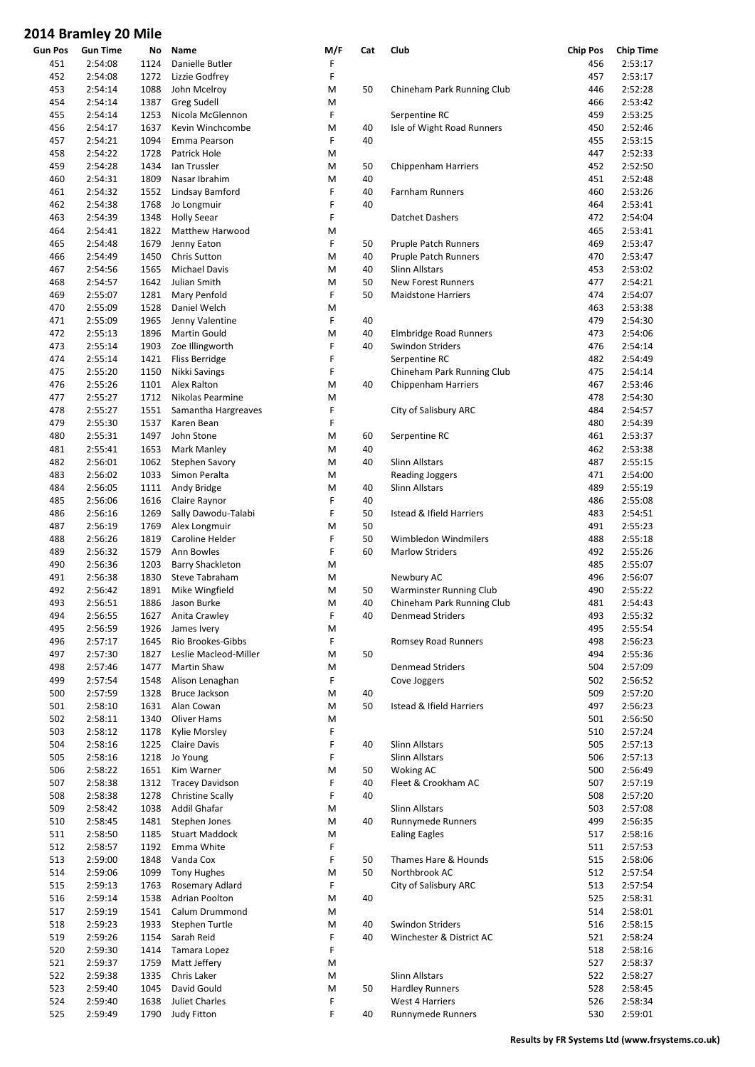| <b>Gun Pos</b> | <b>Gun Time</b> | No   | Name                    | M/F | Cat | Club                        | <b>Chip Pos</b> | <b>Chip Time</b> |
|----------------|-----------------|------|-------------------------|-----|-----|-----------------------------|-----------------|------------------|
| 451            | 2:54:08         | 1124 | Danielle Butler         | F   |     |                             | 456             | 2:53:17          |
| 452            | 2:54:08         | 1272 | Lizzie Godfrey          | F   |     |                             | 457             | 2:53:17          |
| 453            | 2:54:14         | 1088 | John Mcelroy            | M   | 50  | Chineham Park Running Club  | 446             | 2:52:28          |
| 454            | 2:54:14         | 1387 | <b>Greg Sudell</b>      | М   |     |                             | 466             | 2:53:42          |
| 455            | 2:54:14         | 1253 | Nicola McGlennon        | F   |     | Serpentine RC               | 459             | 2:53:25          |
|                |                 |      |                         |     |     |                             |                 |                  |
| 456            | 2:54:17         | 1637 | Kevin Winchcombe        | M   | 40  | Isle of Wight Road Runners  | 450             | 2:52:46          |
| 457            | 2:54:21         | 1094 | Emma Pearson            | F   | 40  |                             | 455             | 2:53:15          |
| 458            | 2:54:22         | 1728 | Patrick Hole            | М   |     |                             | 447             | 2:52:33          |
| 459            | 2:54:28         | 1434 | Ian Trussler            | M   | 50  | Chippenham Harriers         | 452             | 2:52:50          |
| 460            | 2:54:31         | 1809 | Nasar Ibrahim           | M   | 40  |                             | 451             | 2:52:48          |
| 461            | 2:54:32         | 1552 | Lindsay Bamford         | F   | 40  | Farnham Runners             | 460             | 2:53:26          |
| 462            | 2:54:38         | 1768 | Jo Longmuir             | F   | 40  |                             | 464             | 2:53:41          |
|                |                 |      |                         |     |     |                             |                 |                  |
| 463            | 2:54:39         | 1348 | <b>Holly Seear</b>      | F   |     | Datchet Dashers             | 472             | 2:54:04          |
| 464            | 2:54:41         | 1822 | <b>Matthew Harwood</b>  | М   |     |                             | 465             | 2:53:41          |
| 465            | 2:54:48         | 1679 | Jenny Eaton             | F   | 50  | <b>Pruple Patch Runners</b> | 469             | 2:53:47          |
| 466            | 2:54:49         | 1450 | Chris Sutton            | M   | 40  | <b>Pruple Patch Runners</b> | 470             | 2:53:47          |
| 467            | 2:54:56         | 1565 | Michael Davis           | M   | 40  | Slinn Allstars              | 453             | 2:53:02          |
| 468            | 2:54:57         | 1642 | Julian Smith            | M   | 50  | New Forest Runners          | 477             | 2:54:21          |
|                |                 |      |                         | F   |     |                             | 474             | 2:54:07          |
| 469            | 2:55:07         | 1281 | Mary Penfold            |     | 50  | <b>Maidstone Harriers</b>   |                 |                  |
| 470            | 2:55:09         | 1528 | Daniel Welch            | M   |     |                             | 463             | 2:53:38          |
| 471            | 2:55:09         | 1965 | Jenny Valentine         | F   | 40  |                             | 479             | 2:54:30          |
| 472            | 2:55:13         | 1896 | Martin Gould            | M   | 40  | Elmbridge Road Runners      | 473             | 2:54:06          |
| 473            | 2:55:14         | 1903 | Zoe Illingworth         | F   | 40  | <b>Swindon Striders</b>     | 476             | 2:54:14          |
| 474            | 2:55:14         | 1421 | <b>Fliss Berridge</b>   | F   |     | Serpentine RC               | 482             | 2:54:49          |
| 475            | 2:55:20         | 1150 | Nikki Savings           | F   |     | Chineham Park Running Club  | 475             | 2:54:14          |
|                |                 |      |                         |     |     |                             |                 |                  |
| 476            | 2:55:26         | 1101 | Alex Ralton             | М   | 40  | Chippenham Harriers         | 467             | 2:53:46          |
| 477            | 2:55:27         | 1712 | Nikolas Pearmine        | M   |     |                             | 478             | 2:54:30          |
| 478            | 2:55:27         | 1551 | Samantha Hargreaves     | F   |     | City of Salisbury ARC       | 484             | 2:54:57          |
| 479            | 2:55:30         | 1537 | Karen Bean              | F   |     |                             | 480             | 2:54:39          |
| 480            | 2:55:31         | 1497 | John Stone              | M   | 60  | Serpentine RC               | 461             | 2:53:37          |
| 481            | 2:55:41         | 1653 | Mark Manley             | M   | 40  |                             | 462             | 2:53:38          |
|                |                 |      |                         |     | 40  |                             | 487             | 2:55:15          |
| 482            | 2:56:01         | 1062 | Stephen Savory          | M   |     | <b>Slinn Allstars</b>       |                 |                  |
| 483            | 2:56:02         | 1033 | Simon Peralta           | M   |     | <b>Reading Joggers</b>      | 471             | 2:54:00          |
| 484            | 2:56:05         | 1111 | Andy Bridge             | M   | 40  | <b>Slinn Allstars</b>       | 489             | 2:55:19          |
| 485            | 2:56:06         | 1616 | Claire Raynor           | F   | 40  |                             | 486             | 2:55:08          |
| 486            | 2:56:16         | 1269 | Sally Dawodu-Talabi     | F   | 50  | Istead & Ifield Harriers    | 483             | 2:54:51          |
| 487            | 2:56:19         | 1769 | Alex Longmuir           | M   | 50  |                             | 491             | 2:55:23          |
| 488            | 2:56:26         | 1819 | Caroline Helder         | F   | 50  | Wimbledon Windmilers        | 488             | 2:55:18          |
|                | 2:56:32         |      |                         | F   |     |                             | 492             | 2:55:26          |
| 489            |                 | 1579 | Ann Bowles              |     | 60  | <b>Marlow Striders</b>      |                 |                  |
| 490            | 2:56:36         | 1203 | <b>Barry Shackleton</b> | M   |     |                             | 485             | 2:55:07          |
| 491            | 2:56:38         | 1830 | <b>Steve Tabraham</b>   | M   |     | Newbury AC                  | 496             | 2:56:07          |
| 492            | 2:56:42         | 1891 | Mike Wingfield          | M   | 50  | Warminster Running Club     | 490             | 2:55:22          |
| 493            | 2:56:51         | 1886 | Jason Burke             | M   | 40  | Chineham Park Running Club  | 481             | 2:54:43          |
| 494            | 2:56:55         | 1627 | Anita Crawley           | F   | 40  | Denmead Striders            | 493             | 2:55:32          |
| 495            | 2:56:59         | 1926 | James Ivery             | M   |     |                             | 495             | 2:55:54          |
| 496            | 2:57:17         | 1645 | Rio Brookes-Gibbs       | F   |     | Romsey Road Runners         | 498             | 2:56:23          |
|                |                 |      |                         |     |     |                             |                 |                  |
| 497            | 2:57:30         | 1827 | Leslie Macleod-Miller   | М   | 50  |                             | 494             | 2:55:36          |
| 498            | 2:57:46         | 1477 | Martin Shaw             | M   |     | <b>Denmead Striders</b>     | 504             | 2:57:09          |
| 499            | 2:57:54         | 1548 | Alison Lenaghan         | F   |     | Cove Joggers                | 502             | 2:56:52          |
| 500            | 2:57:59         | 1328 | Bruce Jackson           | М   | 40  |                             | 509             | 2:57:20          |
| 501            | 2:58:10         | 1631 | Alan Cowan              | M   | 50  | Istead & Ifield Harriers    | 497             | 2:56:23          |
| 502            | 2:58:11         | 1340 | Oliver Hams             | M   |     |                             | 501             | 2:56:50          |
| 503            | 2:58:12         | 1178 | Kylie Morsley           | F   |     |                             | 510             | 2:57:24          |
|                |                 |      |                         |     |     |                             |                 |                  |
| 504            | 2:58:16         | 1225 | <b>Claire Davis</b>     | F   | 40  | Slinn Allstars              | 505             | 2:57:13          |
| 505            | 2:58:16         | 1218 | Jo Young                | F   |     | <b>Slinn Allstars</b>       | 506             | 2:57:13          |
| 506            | 2:58:22         | 1651 | Kim Warner              | M   | 50  | Woking AC                   | 500             | 2:56:49          |
| 507            | 2:58:38         | 1312 | <b>Tracey Davidson</b>  | F   | 40  | Fleet & Crookham AC         | 507             | 2:57:19          |
| 508            | 2:58:38         | 1278 | <b>Christine Scally</b> | F   | 40  |                             | 508             | 2:57:20          |
| 509            | 2:58:42         | 1038 | Addil Ghafar            | М   |     | Slinn Allstars              | 503             | 2:57:08          |
| 510            | 2:58:45         | 1481 | Stephen Jones           | M   | 40  | Runnymede Runners           | 499             | 2:56:35          |
|                |                 |      |                         |     |     |                             |                 |                  |
| 511            | 2:58:50         | 1185 | <b>Stuart Maddock</b>   | M   |     | <b>Ealing Eagles</b>        | 517             | 2:58:16          |
| 512            | 2:58:57         | 1192 | Emma White              | F   |     |                             | 511             | 2:57:53          |
| 513            | 2:59:00         | 1848 | Vanda Cox               | F   | 50  | Thames Hare & Hounds        | 515             | 2:58:06          |
| 514            | 2:59:06         | 1099 | <b>Tony Hughes</b>      | М   | 50  | Northbrook AC               | 512             | 2:57:54          |
| 515            | 2:59:13         | 1763 | Rosemary Adlard         | F   |     | City of Salisbury ARC       | 513             | 2:57:54          |
| 516            | 2:59:14         | 1538 | Adrian Poolton          | М   | 40  |                             | 525             | 2:58:31          |
| 517            | 2:59:19         | 1541 | Calum Drummond          | М   |     |                             | 514             | 2:58:01          |
|                |                 |      |                         |     |     | <b>Swindon Striders</b>     | 516             | 2:58:15          |
| 518            | 2:59:23         | 1933 | Stephen Turtle          | М   | 40  |                             |                 |                  |
| 519            | 2:59:26         | 1154 | Sarah Reid              | F   | 40  | Winchester & District AC    | 521             | 2:58:24          |
| 520            | 2:59:30         | 1414 | Tamara Lopez            | F   |     |                             | 518             | 2:58:16          |
| 521            | 2:59:37         | 1759 | Matt Jeffery            | М   |     |                             | 527             | 2:58:37          |
| 522            | 2:59:38         | 1335 | Chris Laker             | M   |     | Slinn Allstars              | 522             | 2:58:27          |
| 523            | 2:59:40         | 1045 | David Gould             | M   | 50  | <b>Hardley Runners</b>      | 528             | 2:58:45          |
| 524            | 2:59:40         | 1638 | <b>Juliet Charles</b>   | F   |     | West 4 Harriers             | 526             | 2:58:34          |
| 525            | 2:59:49         | 1790 | <b>Judy Fitton</b>      | F   | 40  | Runnymede Runners           | 530             | 2:59:01          |
|                |                 |      |                         |     |     |                             |                 |                  |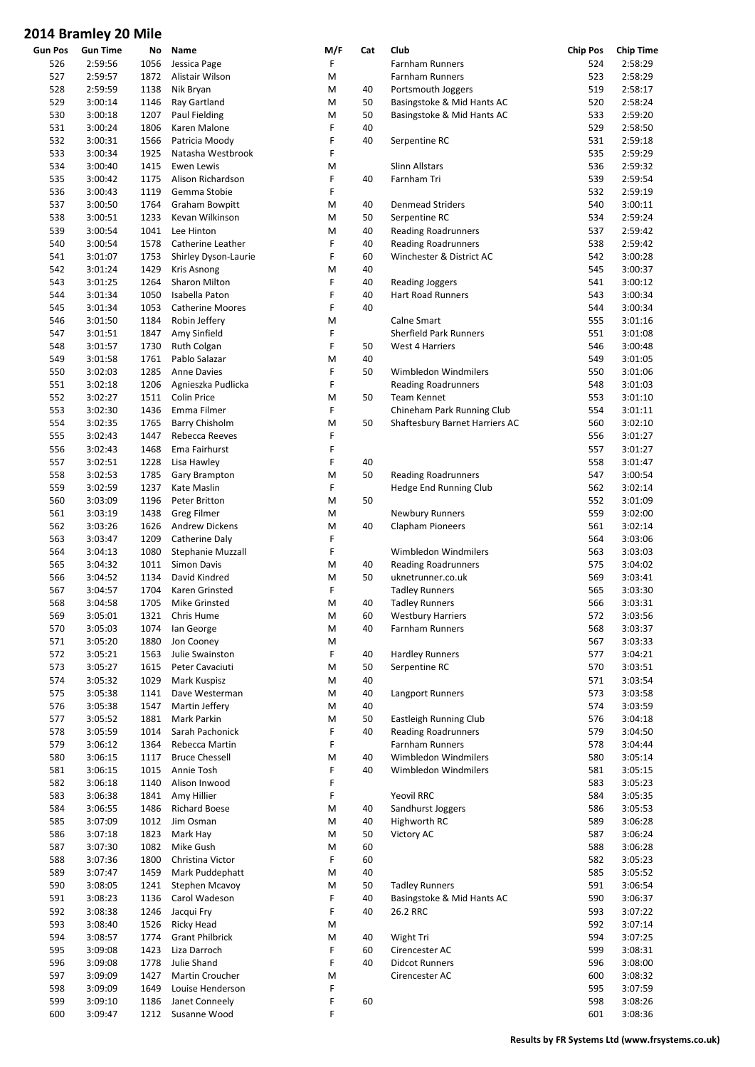| Gun Pos | <b>Gun Time</b> | No   | Name                    | M/F | Cat | Club                           | <b>Chip Pos</b> | <b>Chip Time</b> |
|---------|-----------------|------|-------------------------|-----|-----|--------------------------------|-----------------|------------------|
| 526     | 2:59:56         | 1056 | Jessica Page            | F   |     | Farnham Runners                | 524             | 2:58:29          |
| 527     | 2:59:57         | 1872 | Alistair Wilson         | M   |     | <b>Farnham Runners</b>         | 523             | 2:58:29          |
| 528     | 2:59:59         | 1138 | Nik Bryan               | M   | 40  | Portsmouth Joggers             | 519             | 2:58:17          |
| 529     | 3:00:14         | 1146 | Ray Gartland            | M   | 50  | Basingstoke & Mid Hants AC     | 520             | 2:58:24          |
| 530     | 3:00:18         | 1207 | Paul Fielding           | M   | 50  | Basingstoke & Mid Hants AC     | 533             | 2:59:20          |
|         |                 |      |                         |     |     |                                |                 |                  |
| 531     | 3:00:24         | 1806 | Karen Malone            | F   | 40  |                                | 529             | 2:58:50          |
| 532     | 3:00:31         | 1566 | Patricia Moody          | F   | 40  | Serpentine RC                  | 531             | 2:59:18          |
| 533     | 3:00:34         | 1925 | Natasha Westbrook       | F   |     |                                | 535             | 2:59:29          |
| 534     | 3:00:40         | 1415 | Ewen Lewis              | M   |     | <b>Slinn Allstars</b>          | 536             | 2:59:32          |
| 535     | 3:00:42         | 1175 | Alison Richardson       | F   | 40  | Farnham Tri                    | 539             | 2:59:54          |
| 536     | 3:00:43         | 1119 | Gemma Stobie            | F   |     |                                | 532             | 2:59:19          |
| 537     |                 | 1764 |                         |     |     |                                | 540             | 3:00:11          |
|         | 3:00:50         |      | Graham Bowpitt          | M   | 40  | <b>Denmead Striders</b>        |                 |                  |
| 538     | 3:00:51         | 1233 | Kevan Wilkinson         | M   | 50  | Serpentine RC                  | 534             | 2:59:24          |
| 539     | 3:00:54         | 1041 | Lee Hinton              | M   | 40  | <b>Reading Roadrunners</b>     | 537             | 2:59:42          |
| 540     | 3:00:54         | 1578 | Catherine Leather       | F   | 40  | <b>Reading Roadrunners</b>     | 538             | 2:59:42          |
| 541     | 3:01:07         | 1753 | Shirley Dyson-Laurie    | F   | 60  | Winchester & District AC       | 542             | 3:00:28          |
| 542     | 3:01:24         | 1429 | Kris Asnong             | M   | 40  |                                | 545             | 3:00:37          |
| 543     | 3:01:25         | 1264 | Sharon Milton           | F   | 40  | <b>Reading Joggers</b>         | 541             | 3:00:12          |
|         |                 |      |                         |     |     |                                |                 |                  |
| 544     | 3:01:34         | 1050 | Isabella Paton          | F   | 40  | <b>Hart Road Runners</b>       | 543             | 3:00:34          |
| 545     | 3:01:34         | 1053 | <b>Catherine Moores</b> | F   | 40  |                                | 544             | 3:00:34          |
| 546     | 3:01:50         | 1184 | Robin Jeffery           | M   |     | Calne Smart                    | 555             | 3:01:16          |
| 547     | 3:01:51         | 1847 | Amy Sinfield            | F   |     | <b>Sherfield Park Runners</b>  | 551             | 3:01:08          |
| 548     | 3:01:57         | 1730 | Ruth Colgan             | F   | 50  | West 4 Harriers                | 546             | 3:00:48          |
| 549     | 3:01:58         | 1761 | Pablo Salazar           | M   | 40  |                                | 549             | 3:01:05          |
|         |                 |      |                         | F   |     |                                |                 |                  |
| 550     | 3:02:03         | 1285 | <b>Anne Davies</b>      |     | 50  | Wimbledon Windmilers           | 550             | 3:01:06          |
| 551     | 3:02:18         | 1206 | Agnieszka Pudlicka      | F   |     | <b>Reading Roadrunners</b>     | 548             | 3:01:03          |
| 552     | 3:02:27         | 1511 | <b>Colin Price</b>      | M   | 50  | Team Kennet                    | 553             | 3:01:10          |
| 553     | 3:02:30         | 1436 | Emma Filmer             | F   |     | Chineham Park Running Club     | 554             | 3:01:11          |
| 554     | 3:02:35         | 1765 | <b>Barry Chisholm</b>   | M   | 50  | Shaftesbury Barnet Harriers AC | 560             | 3:02:10          |
| 555     | 3:02:43         | 1447 | Rebecca Reeves          | F   |     |                                | 556             | 3:01:27          |
|         |                 |      |                         | F   |     |                                |                 |                  |
| 556     | 3:02:43         | 1468 | Ema Fairhurst           |     |     |                                | 557             | 3:01:27          |
| 557     | 3:02:51         | 1228 | Lisa Hawley             | F   | 40  |                                | 558             | 3:01:47          |
| 558     | 3:02:53         | 1785 | Gary Brampton           | M   | 50  | <b>Reading Roadrunners</b>     | 547             | 3:00:54          |
| 559     | 3:02:59         | 1237 | Kate Maslin             | F   |     | Hedge End Running Club         | 562             | 3:02:14          |
| 560     | 3:03:09         | 1196 | Peter Britton           | M   | 50  |                                | 552             | 3:01:09          |
| 561     | 3:03:19         | 1438 | <b>Greg Filmer</b>      | M   |     | Newbury Runners                | 559             | 3:02:00          |
| 562     | 3:03:26         | 1626 | <b>Andrew Dickens</b>   | M   | 40  | <b>Clapham Pioneers</b>        | 561             | 3:02:14          |
|         |                 |      |                         |     |     |                                |                 |                  |
| 563     | 3:03:47         | 1209 | Catherine Daly          | F   |     |                                | 564             | 3:03:06          |
| 564     | 3:04:13         | 1080 | Stephanie Muzzall       | F   |     | Wimbledon Windmilers           | 563             | 3:03:03          |
| 565     | 3:04:32         | 1011 | Simon Davis             | M   | 40  | <b>Reading Roadrunners</b>     | 575             | 3:04:02          |
| 566     | 3:04:52         | 1134 | David Kindred           | M   | 50  | uknetrunner.co.uk              | 569             | 3:03:41          |
| 567     | 3:04:57         | 1704 | Karen Grinsted          | F   |     | <b>Tadley Runners</b>          | 565             | 3:03:30          |
| 568     | 3:04:58         | 1705 | Mike Grinsted           | M   | 40  | <b>Tadley Runners</b>          | 566             | 3:03:31          |
| 569     | 3:05:01         | 1321 | Chris Hume              | M   | 60  | <b>Westbury Harriers</b>       | 572             | 3:03:56          |
|         |                 |      |                         |     |     |                                |                 | 3:03:37          |
| 570     | 3:05:03         | 1074 | lan George              | M   | 40  | Farnham Runners                | 568             |                  |
| 571     | 3:05:20         | 1880 | Jon Cooney              | M   |     |                                | 567             | 3:03:33          |
| 572     | 3:05:21         | 1563 | Julie Swainston         | F   | 40  | <b>Hardley Runners</b>         | 577             | 3:04:21          |
| 573     | 3:05:27         | 1615 | Peter Cavaciuti         | M   | 50  | Serpentine RC                  | 570             | 3:03:51          |
| 574     | 3:05:32         | 1029 | Mark Kuspisz            | M   | 40  |                                | 571             | 3:03:54          |
| 575     | 3:05:38         | 1141 | Dave Westerman          | M   | 40  | Langport Runners               | 573             | 3:03:58          |
| 576     | 3:05:38         | 1547 | Martin Jeffery          | Μ   | 40  |                                | 574             | 3:03:59          |
|         |                 |      |                         |     |     |                                |                 |                  |
| 577     | 3:05:52         | 1881 | Mark Parkin             | M   | 50  | Eastleigh Running Club         | 576             | 3:04:18          |
| 578     | 3:05:59         | 1014 | Sarah Pachonick         | F   | 40  | <b>Reading Roadrunners</b>     | 579             | 3:04:50          |
| 579     | 3:06:12         | 1364 | Rebecca Martin          | F   |     | Farnham Runners                | 578             | 3:04:44          |
| 580     | 3:06:15         | 1117 | <b>Bruce Chessell</b>   | M   | 40  | Wimbledon Windmilers           | 580             | 3:05:14          |
| 581     | 3:06:15         | 1015 | Annie Tosh              | F   | 40  | Wimbledon Windmilers           | 581             | 3:05:15          |
| 582     | 3:06:18         | 1140 | Alison Inwood           | F   |     |                                | 583             | 3:05:23          |
| 583     | 3:06:38         | 1841 |                         | F   |     | Yeovil RRC                     | 584             | 3:05:35          |
|         |                 |      | Amy Hillier             |     |     |                                |                 |                  |
| 584     | 3:06:55         | 1486 | <b>Richard Boese</b>    | M   | 40  | Sandhurst Joggers              | 586             | 3:05:53          |
| 585     | 3:07:09         | 1012 | Jim Osman               | Μ   | 40  | Highworth RC                   | 589             | 3:06:28          |
| 586     | 3:07:18         | 1823 | Mark Hay                | M   | 50  | Victory AC                     | 587             | 3:06:24          |
| 587     | 3:07:30         | 1082 | Mike Gush               | M   | 60  |                                | 588             | 3:06:28          |
| 588     | 3:07:36         | 1800 | Christina Victor        | F   | 60  |                                | 582             | 3:05:23          |
| 589     | 3:07:47         | 1459 | Mark Puddephatt         | M   | 40  |                                | 585             | 3:05:52          |
| 590     | 3:08:05         |      |                         |     | 50  | <b>Tadley Runners</b>          | 591             | 3:06:54          |
|         |                 | 1241 | Stephen Mcavoy          | M   |     |                                |                 |                  |
| 591     | 3:08:23         | 1136 | Carol Wadeson           | F   | 40  | Basingstoke & Mid Hants AC     | 590             | 3:06:37          |
| 592     | 3:08:38         | 1246 | Jacqui Fry              | F   | 40  | 26.2 RRC                       | 593             | 3:07:22          |
| 593     | 3:08:40         | 1526 | Ricky Head              | M   |     |                                | 592             | 3:07:14          |
| 594     | 3:08:57         | 1774 | <b>Grant Philbrick</b>  | M   | 40  | Wight Tri                      | 594             | 3:07:25          |
| 595     | 3:09:08         | 1423 | Liza Darroch            | F   | 60  | Cirencester AC                 | 599             | 3:08:31          |
| 596     | 3:09:08         | 1778 | Julie Shand             | F   | 40  | <b>Didcot Runners</b>          | 596             | 3:08:00          |
| 597     | 3:09:09         | 1427 | Martin Croucher         | M   |     | Cirencester AC                 | 600             | 3:08:32          |
|         |                 |      |                         |     |     |                                |                 |                  |
| 598     | 3:09:09         | 1649 | Louise Henderson        | F   |     |                                | 595             | 3:07:59          |
| 599     | 3:09:10         | 1186 | Janet Conneely          | F   | 60  |                                | 598             | 3:08:26          |
| 600     | 3:09:47         | 1212 | Susanne Wood            | F   |     |                                | 601             | 3:08:36          |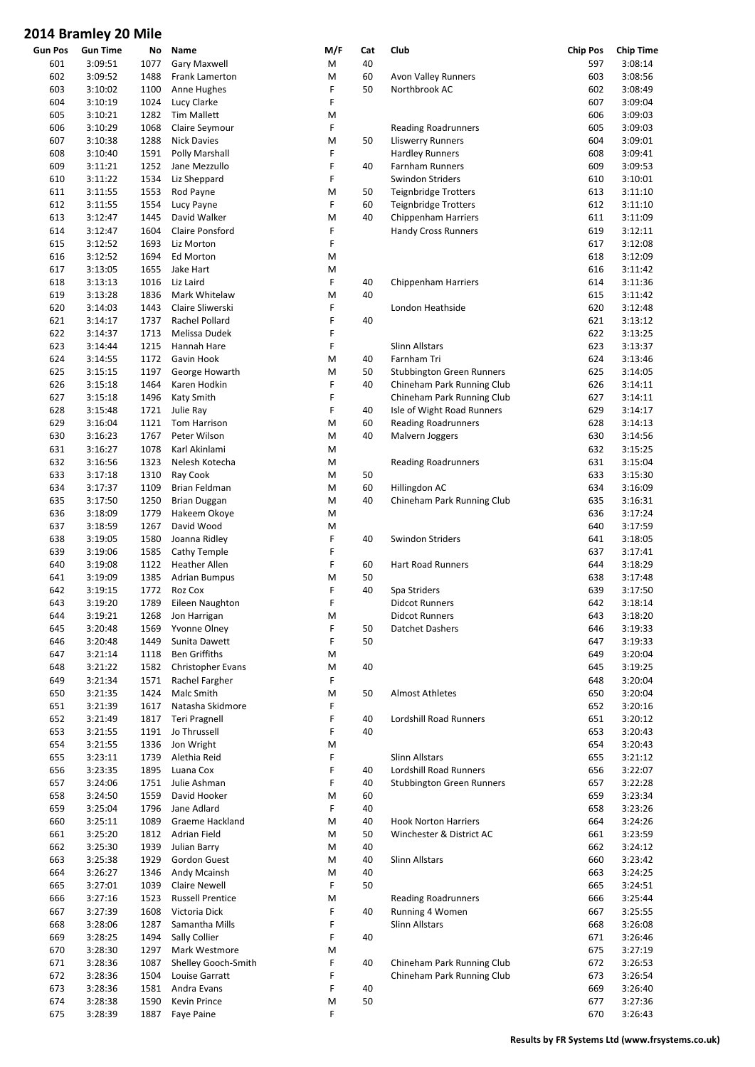| Gun Pos | <b>Gun Time</b> | No   | Name                    | M/F | Cat | Club                             | <b>Chip Pos</b> | <b>Chip Time</b> |
|---------|-----------------|------|-------------------------|-----|-----|----------------------------------|-----------------|------------------|
| 601     | 3:09:51         | 1077 | Gary Maxwell            | M   | 40  |                                  | 597             | 3:08:14          |
| 602     | 3:09:52         | 1488 | Frank Lamerton          | M   | 60  | Avon Valley Runners              | 603             | 3:08:56          |
| 603     | 3:10:02         | 1100 | Anne Hughes             | F   | 50  | Northbrook AC                    | 602             | 3:08:49          |
| 604     | 3:10:19         | 1024 | Lucy Clarke             | F   |     |                                  | 607             | 3:09:04          |
| 605     | 3:10:21         | 1282 | <b>Tim Mallett</b>      | M   |     |                                  | 606             | 3:09:03          |
|         | 3:10:29         |      |                         |     |     |                                  | 605             | 3:09:03          |
| 606     |                 | 1068 | Claire Seymour          | F   |     | <b>Reading Roadrunners</b>       |                 |                  |
| 607     | 3:10:38         | 1288 | <b>Nick Davies</b>      | M   | 50  | Lliswerry Runners                | 604             | 3:09:01          |
| 608     | 3:10:40         | 1591 | Polly Marshall          | F   |     | <b>Hardley Runners</b>           | 608             | 3:09:41          |
| 609     | 3:11:21         | 1252 | Jane Mezzullo           | F   | 40  | Farnham Runners                  | 609             | 3:09:53          |
| 610     | 3:11:22         | 1534 | Liz Sheppard            | F   |     | Swindon Striders                 | 610             | 3:10:01          |
| 611     | 3:11:55         | 1553 | Rod Payne               | M   | 50  | <b>Teignbridge Trotters</b>      | 613             | 3:11:10          |
|         |                 |      |                         | F   |     |                                  | 612             |                  |
| 612     | 3:11:55         | 1554 | Lucy Payne              |     | 60  | <b>Teignbridge Trotters</b>      |                 | 3:11:10          |
| 613     | 3:12:47         | 1445 | David Walker            | M   | 40  | Chippenham Harriers              | 611             | 3:11:09          |
| 614     | 3:12:47         | 1604 | Claire Ponsford         | F   |     | <b>Handy Cross Runners</b>       | 619             | 3:12:11          |
| 615     | 3:12:52         | 1693 | Liz Morton              | F   |     |                                  | 617             | 3:12:08          |
| 616     | 3:12:52         | 1694 | Ed Morton               | M   |     |                                  | 618             | 3:12:09          |
| 617     | 3:13:05         | 1655 | Jake Hart               | M   |     |                                  | 616             | 3:11:42          |
|         |                 |      |                         |     |     |                                  |                 |                  |
| 618     | 3:13:13         | 1016 | Liz Laird               | F   | 40  | Chippenham Harriers              | 614             | 3:11:36          |
| 619     | 3:13:28         | 1836 | Mark Whitelaw           | M   | 40  |                                  | 615             | 3:11:42          |
| 620     | 3:14:03         | 1443 | Claire Sliwerski        | F   |     | London Heathside                 | 620             | 3:12:48          |
| 621     | 3:14:17         | 1737 | Rachel Pollard          | F   | 40  |                                  | 621             | 3:13:12          |
| 622     | 3:14:37         | 1713 | Melissa Dudek           | F   |     |                                  | 622             | 3:13:25          |
| 623     | 3:14:44         | 1215 | Hannah Hare             | F   |     | <b>Slinn Allstars</b>            | 623             | 3:13:37          |
|         |                 |      |                         |     |     |                                  |                 |                  |
| 624     | 3:14:55         | 1172 | Gavin Hook              | M   | 40  | Farnham Tri                      | 624             | 3:13:46          |
| 625     | 3:15:15         | 1197 | George Howarth          | M   | 50  | <b>Stubbington Green Runners</b> | 625             | 3:14:05          |
| 626     | 3:15:18         | 1464 | Karen Hodkin            | F   | 40  | Chineham Park Running Club       | 626             | 3:14:11          |
| 627     | 3:15:18         | 1496 | Katy Smith              | F   |     | Chineham Park Running Club       | 627             | 3:14:11          |
| 628     | 3:15:48         | 1721 | Julie Ray               | F   | 40  | Isle of Wight Road Runners       | 629             | 3:14:17          |
|         |                 |      |                         |     |     |                                  |                 |                  |
| 629     | 3:16:04         | 1121 | Tom Harrison            | М   | 60  | <b>Reading Roadrunners</b>       | 628             | 3:14:13          |
| 630     | 3:16:23         | 1767 | Peter Wilson            | M   | 40  | Malvern Joggers                  | 630             | 3:14:56          |
| 631     | 3:16:27         | 1078 | Karl Akinlami           | M   |     |                                  | 632             | 3:15:25          |
| 632     | 3:16:56         | 1323 | Nelesh Kotecha          | M   |     | <b>Reading Roadrunners</b>       | 631             | 3:15:04          |
| 633     | 3:17:18         | 1310 | Ray Cook                | M   | 50  |                                  | 633             | 3:15:30          |
| 634     | 3:17:37         | 1109 | Brian Feldman           | M   | 60  | Hillingdon AC                    | 634             | 3:16:09          |
|         |                 |      |                         |     |     |                                  |                 |                  |
| 635     | 3:17:50         | 1250 | Brian Duggan            | M   | 40  | Chineham Park Running Club       | 635             | 3:16:31          |
| 636     | 3:18:09         | 1779 | Hakeem Okoye            | M   |     |                                  | 636             | 3:17:24          |
| 637     | 3:18:59         | 1267 | David Wood              | M   |     |                                  | 640             | 3:17:59          |
| 638     | 3:19:05         | 1580 | Joanna Ridley           | F   | 40  | Swindon Striders                 | 641             | 3:18:05          |
| 639     | 3:19:06         | 1585 | Cathy Temple            | F   |     |                                  | 637             | 3:17:41          |
| 640     | 3:19:08         | 1122 | <b>Heather Allen</b>    | F   | 60  | <b>Hart Road Runners</b>         | 644             | 3:18:29          |
|         |                 |      |                         |     |     |                                  |                 |                  |
| 641     | 3:19:09         | 1385 | <b>Adrian Bumpus</b>    | М   | 50  |                                  | 638             | 3:17:48          |
| 642     | 3:19:15         | 1772 | Roz Cox                 | F   | 40  | Spa Striders                     | 639             | 3:17:50          |
| 643     | 3:19:20         | 1789 | Eileen Naughton         | F   |     | <b>Didcot Runners</b>            | 642             | 3:18:14          |
| 644     | 3:19:21         |      | 1268 Jon Harrigan       | M   |     | <b>Didcot Runners</b>            | 643             | 3:18:20          |
| 645     | 3:20:48         | 1569 | <b>Yvonne Olney</b>     | F   | 50  | Datchet Dashers                  | 646             | 3:19:33          |
|         |                 |      | Sunita Dawett           | F   | 50  |                                  |                 |                  |
| 646     | 3:20:48         | 1449 |                         |     |     |                                  | 647             | 3:19:33          |
| 647     | 3:21:14         | 1118 | <b>Ben Griffiths</b>    | M   |     |                                  | 649             | 3:20:04          |
| 648     | 3:21:22         | 1582 | Christopher Evans       | M   | 40  |                                  | 645             | 3:19:25          |
| 649     | 3:21:34         | 1571 | Rachel Fargher          | F   |     |                                  | 648             | 3:20:04          |
| 650     | 3:21:35         | 1424 | Malc Smith              | M   | 50  | <b>Almost Athletes</b>           | 650             | 3:20:04          |
| 651     | 3:21:39         | 1617 | Natasha Skidmore        | F   |     |                                  | 652             | 3:20:16          |
|         |                 |      |                         | F   |     |                                  |                 |                  |
| 652     | 3:21:49         | 1817 | Teri Pragnell           |     | 40  | Lordshill Road Runners           | 651             | 3:20:12          |
| 653     | 3:21:55         | 1191 | Jo Thrussell            | F   | 40  |                                  | 653             | 3:20:43          |
| 654     | 3:21:55         | 1336 | Jon Wright              | Μ   |     |                                  | 654             | 3:20:43          |
| 655     | 3:23:11         | 1739 | Alethia Reid            | F   |     | <b>Slinn Allstars</b>            | 655             | 3:21:12          |
| 656     | 3:23:35         | 1895 | Luana Cox               | F   | 40  | <b>Lordshill Road Runners</b>    | 656             | 3:22:07          |
| 657     | 3:24:06         | 1751 | Julie Ashman            | F   | 40  | <b>Stubbington Green Runners</b> | 657             | 3:22:28          |
|         |                 |      |                         |     |     |                                  |                 |                  |
| 658     | 3:24:50         | 1559 | David Hooker            | М   | 60  |                                  | 659             | 3:23:34          |
| 659     | 3:25:04         | 1796 | Jane Adlard             | F   | 40  |                                  | 658             | 3:23:26          |
| 660     | 3:25:11         | 1089 | Graeme Hackland         | M   | 40  | <b>Hook Norton Harriers</b>      | 664             | 3:24:26          |
| 661     | 3:25:20         | 1812 | <b>Adrian Field</b>     | M   | 50  | Winchester & District AC         | 661             | 3:23:59          |
| 662     | 3:25:30         | 1939 | Julian Barry            | Μ   | 40  |                                  | 662             | 3:24:12          |
| 663     | 3:25:38         | 1929 | Gordon Guest            | M   | 40  | Slinn Allstars                   | 660             | 3:23:42          |
|         |                 |      |                         |     |     |                                  |                 |                  |
| 664     | 3:26:27         | 1346 | Andy Mcainsh            | Μ   | 40  |                                  | 663             | 3:24:25          |
| 665     | 3:27:01         | 1039 | <b>Claire Newell</b>    | F   | 50  |                                  | 665             | 3:24:51          |
| 666     | 3:27:16         | 1523 | <b>Russell Prentice</b> | M   |     | <b>Reading Roadrunners</b>       | 666             | 3:25:44          |
| 667     | 3:27:39         | 1608 | Victoria Dick           | F   | 40  | Running 4 Women                  | 667             | 3:25:55          |
| 668     | 3:28:06         | 1287 | Samantha Mills          | F   |     | Slinn Allstars                   | 668             | 3:26:08          |
| 669     | 3:28:25         | 1494 | Sally Collier           | F   | 40  |                                  | 671             | 3:26:46          |
|         |                 |      |                         |     |     |                                  |                 |                  |
| 670     | 3:28:30         | 1297 | Mark Westmore           | М   |     |                                  | 675             | 3:27:19          |
| 671     | 3:28:36         | 1087 | Shelley Gooch-Smith     | F   | 40  | Chineham Park Running Club       | 672             | 3:26:53          |
| 672     | 3:28:36         | 1504 | Louise Garratt          | F   |     | Chineham Park Running Club       | 673             | 3:26:54          |
| 673     | 3:28:36         | 1581 | Andra Evans             | F   | 40  |                                  | 669             | 3:26:40          |
| 674     | 3:28:38         | 1590 | Kevin Prince            | М   | 50  |                                  | 677             | 3:27:36          |
| 675     | 3:28:39         | 1887 | Faye Paine              | F   |     |                                  | 670             | 3:26:43          |
|         |                 |      |                         |     |     |                                  |                 |                  |